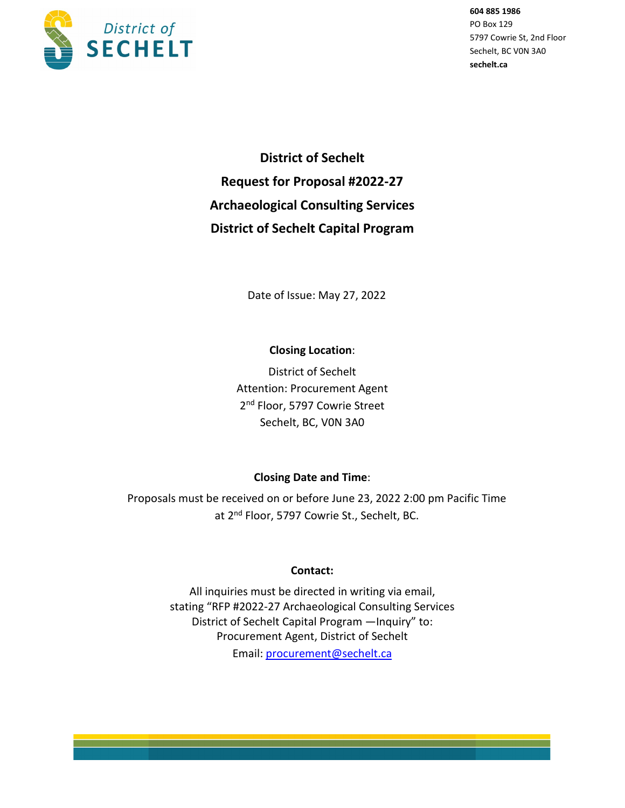

**District of Sechelt Request for Proposal #2022-27 Archaeological Consulting Services District of Sechelt Capital Program**

Date of Issue: May 27, 2022

## **Closing Location**:

District of Sechelt Attention: Procurement Agent 2<sup>nd</sup> Floor, 5797 Cowrie Street Sechelt, BC, V0N 3A0

## **Closing Date and Time**:

Proposals must be received on or before June 23, 2022 2:00 pm Pacific Time at 2nd Floor, 5797 Cowrie St., Sechelt, BC.

## **Contact:**

All inquiries must be directed in writing via email, stating "RFP #2022-27 Archaeological Consulting Services District of Sechelt Capital Program —Inquiry" to: Procurement Agent, District of Sechelt Email: [procurement@sechelt.ca](mailto:procurement@sechelt.ca)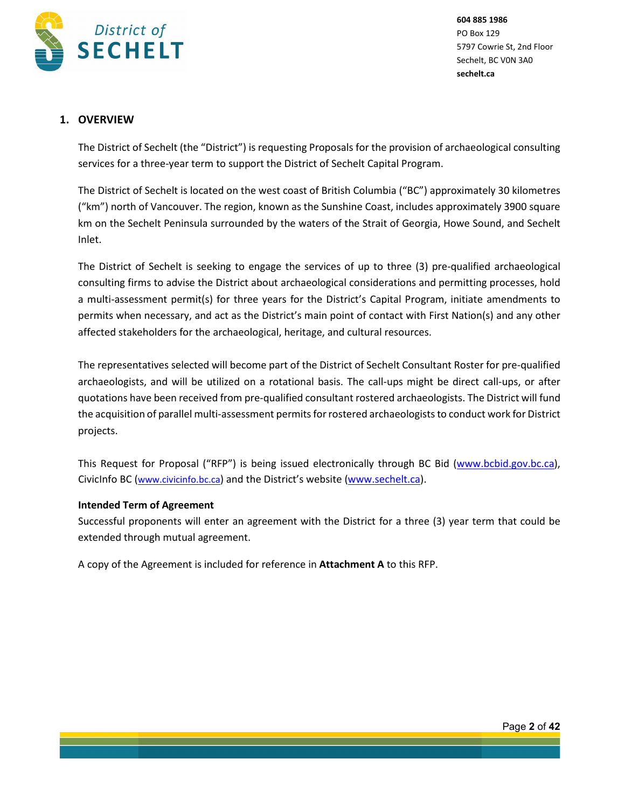

## **1. OVERVIEW**

The District of Sechelt (the "District") is requesting Proposals for the provision of archaeological consulting services for a three-year term to support the District of Sechelt Capital Program.

The District of Sechelt is located on the west coast of British Columbia ("BC") approximately 30 kilometres ("km") north of Vancouver. The region, known as the Sunshine Coast, includes approximately 3900 square km on the Sechelt Peninsula surrounded by the waters of the Strait of Georgia, Howe Sound, and Sechelt Inlet.

The District of Sechelt is seeking to engage the services of up to three (3) pre-qualified archaeological consulting firms to advise the District about archaeological considerations and permitting processes, hold a multi-assessment permit(s) for three years for the District's Capital Program, initiate amendments to permits when necessary, and act as the District's main point of contact with First Nation(s) and any other affected stakeholders for the archaeological, heritage, and cultural resources.

The representatives selected will become part of the District of Sechelt Consultant Roster for pre-qualified archaeologists, and will be utilized on a rotational basis. The call-ups might be direct call-ups, or after quotations have been received from pre-qualified consultant rostered archaeologists. The District will fund the acquisition of parallel multi-assessment permits for rostered archaeologists to conduct work for District projects.

This Request for Proposal ("RFP") is being issued electronically through BC Bid [\(www.bcbid.gov.bc.ca\)](http://www.bcbid.gov.bc.ca/), CivicInfo BC (www.civicinfo.bc.ca) and the District's website [\(www.sechelt.ca\)](http://www.sechelt.ca/).

### **Intended Term of Agreement**

Successful proponents will enter an agreement with the District for a three (3) year term that could be extended through mutual agreement.

A copy of the Agreement is included for reference in **Attachment A** to this RFP.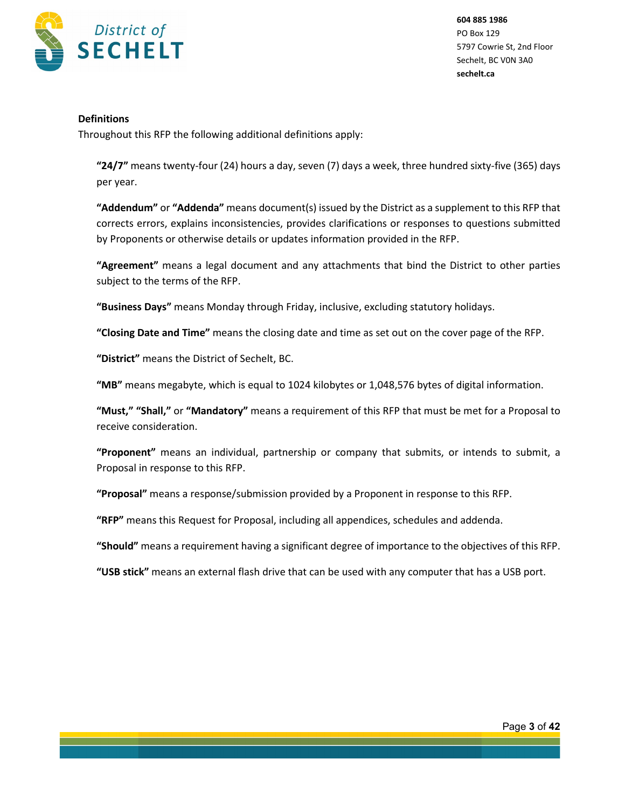

#### **Definitions**

Throughout this RFP the following additional definitions apply:

**"24/7"** means twenty-four (24) hours a day, seven (7) days a week, three hundred sixty-five (365) days per year.

**"Addendum"** or **"Addenda"** means document(s) issued by the District as a supplement to this RFP that corrects errors, explains inconsistencies, provides clarifications or responses to questions submitted by Proponents or otherwise details or updates information provided in the RFP.

**"Agreement"** means a legal document and any attachments that bind the District to other parties subject to the terms of the RFP.

**"Business Days"** means Monday through Friday, inclusive, excluding statutory holidays.

**"Closing Date and Time"** means the closing date and time as set out on the cover page of the RFP.

**"District"** means the District of Sechelt, BC.

**"MB"** means megabyte, which is equal to 1024 kilobytes or 1,048,576 bytes of digital information.

**"Must," "Shall,"** or **"Mandatory"** means a requirement of this RFP that must be met for a Proposal to receive consideration.

**"Proponent"** means an individual, partnership or company that submits, or intends to submit, a Proposal in response to this RFP.

**"Proposal"** means a response/submission provided by a Proponent in response to this RFP.

**"RFP"** means this Request for Proposal, including all appendices, schedules and addenda.

**"Should"** means a requirement having a significant degree of importance to the objectives of this RFP.

**"USB stick"** means an external flash drive that can be used with any computer that has a USB port.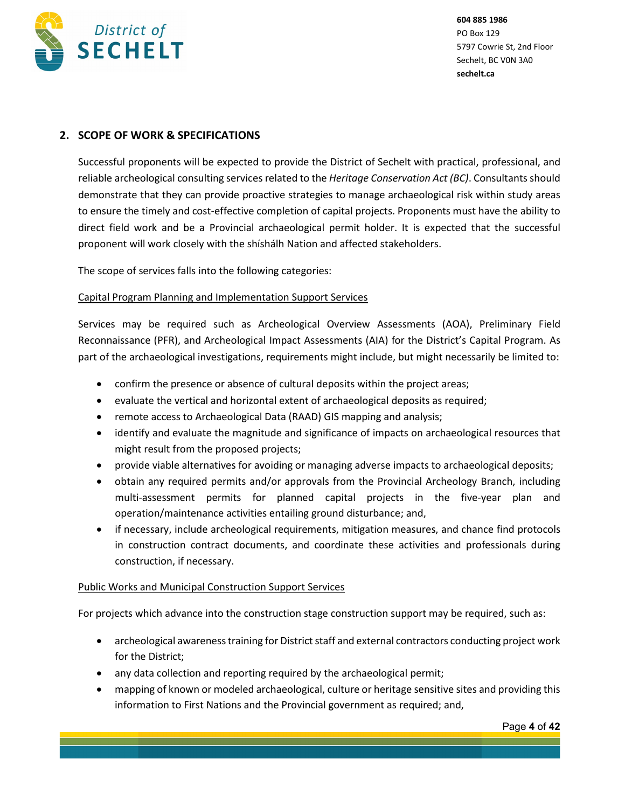

## **2. SCOPE OF WORK & SPECIFICATIONS**

Successful proponents will be expected to provide the District of Sechelt with practical, professional, and reliable archeological consulting services related to the *Heritage Conservation Act (BC)*. Consultants should demonstrate that they can provide proactive strategies to manage archaeological risk within study areas to ensure the timely and cost-effective completion of capital projects. Proponents must have the ability to direct field work and be a Provincial archaeological permit holder. It is expected that the successful proponent will work closely with the shíshálh Nation and affected stakeholders.

The scope of services falls into the following categories:

#### Capital Program Planning and Implementation Support Services

Services may be required such as Archeological Overview Assessments (AOA), Preliminary Field Reconnaissance (PFR), and Archeological Impact Assessments (AIA) for the District's Capital Program. As part of the archaeological investigations, requirements might include, but might necessarily be limited to:

- confirm the presence or absence of cultural deposits within the project areas;
- evaluate the vertical and horizontal extent of archaeological deposits as required;
- remote access to Archaeological Data (RAAD) GIS mapping and analysis;
- identify and evaluate the magnitude and significance of impacts on archaeological resources that might result from the proposed projects;
- provide viable alternatives for avoiding or managing adverse impacts to archaeological deposits;
- obtain any required permits and/or approvals from the Provincial Archeology Branch, including multi-assessment permits for planned capital projects in the five-year plan and operation/maintenance activities entailing ground disturbance; and,
- if necessary, include archeological requirements, mitigation measures, and chance find protocols in construction contract documents, and coordinate these activities and professionals during construction, if necessary.

#### Public Works and Municipal Construction Support Services

For projects which advance into the construction stage construction support may be required, such as:

- archeological awareness training for District staff and external contractors conducting project work for the District;
- any data collection and reporting required by the archaeological permit;
- mapping of known or modeled archaeological, culture or heritage sensitive sites and providing this information to First Nations and the Provincial government as required; and,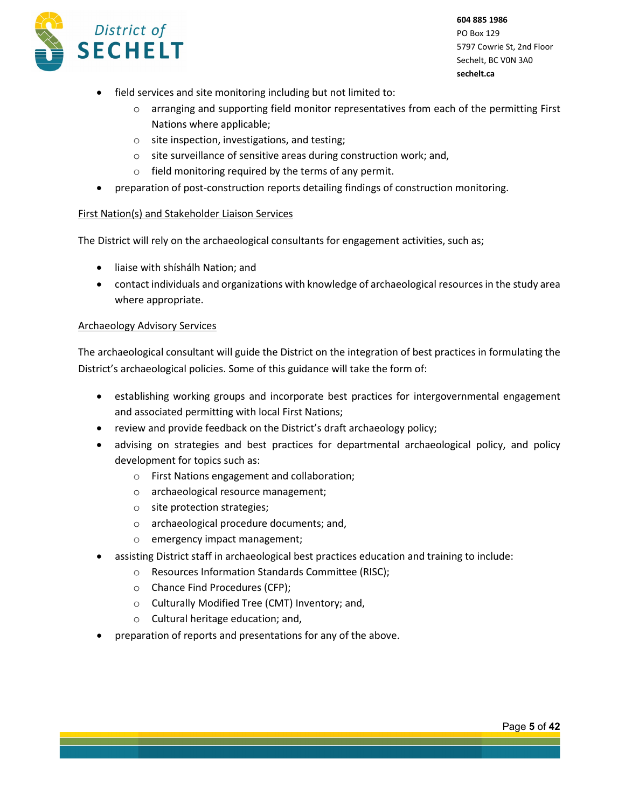

- field services and site monitoring including but not limited to:
	- $\circ$  arranging and supporting field monitor representatives from each of the permitting First Nations where applicable;
	- o site inspection, investigations, and testing;
	- o site surveillance of sensitive areas during construction work; and,
	- o field monitoring required by the terms of any permit.
- preparation of post-construction reports detailing findings of construction monitoring.

### First Nation(s) and Stakeholder Liaison Services

The District will rely on the archaeological consultants for engagement activities, such as;

- liaise with shíshálh Nation; and
- contact individuals and organizations with knowledge of archaeological resources in the study area where appropriate.

#### Archaeology Advisory Services

The archaeological consultant will guide the District on the integration of best practices in formulating the District's archaeological policies. Some of this guidance will take the form of:

- establishing working groups and incorporate best practices for intergovernmental engagement and associated permitting with local First Nations;
- review and provide feedback on the District's draft archaeology policy;
- advising on strategies and best practices for departmental archaeological policy, and policy development for topics such as:
	- o First Nations engagement and collaboration;
	- o archaeological resource management;
	- o site protection strategies;
	- o archaeological procedure documents; and,
	- o emergency impact management;
- assisting District staff in archaeological best practices education and training to include:
	- o Resources Information Standards Committee (RISC);
	- o Chance Find Procedures (CFP);
	- o Culturally Modified Tree (CMT) Inventory; and,
	- o Cultural heritage education; and,
- preparation of reports and presentations for any of the above.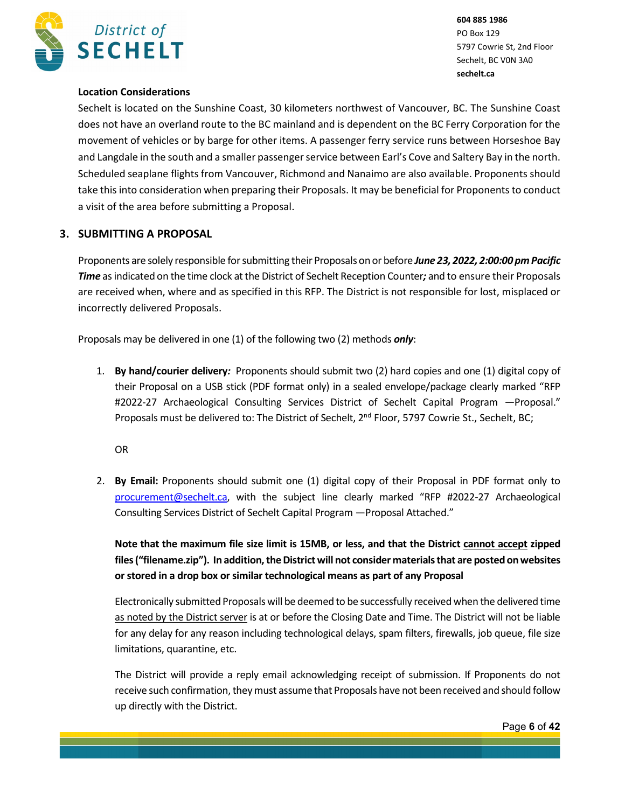

### **Location Considerations**

Sechelt is located on the Sunshine Coast, 30 kilometers northwest of Vancouver, BC. The Sunshine Coast does not have an overland route to the BC mainland and is dependent on the BC Ferry Corporation for the movement of vehicles or by barge for other items. A passenger ferry service runs between Horseshoe Bay and Langdale in the south and a smaller passenger service between Earl's Cove and Saltery Bay in the north. Scheduled seaplane flights from Vancouver, Richmond and Nanaimo are also available. Proponents should take this into consideration when preparing their Proposals. It may be beneficial for Proponents to conduct a visit of the area before submitting a Proposal.

### **3. SUBMITTING A PROPOSAL**

Proponents are solely responsible forsubmitting their Proposals on or before *June 23, 2022, 2:00:00 pm Pacific Time* as indicated on the time clock at the District of Sechelt Reception Counter*;* and to ensure their Proposals are received when, where and as specified in this RFP. The District is not responsible for lost, misplaced or incorrectly delivered Proposals.

Proposals may be delivered in one (1) of the following two (2) methods *only*:

1. **By hand/courier delivery***:* Proponents should submit two (2) hard copies and one (1) digital copy of their Proposal on a USB stick (PDF format only) in a sealed envelope/package clearly marked "RFP #2022-27 Archaeological Consulting Services District of Sechelt Capital Program —Proposal." Proposals must be delivered to: The District of Sechelt, 2<sup>nd</sup> Floor, 5797 Cowrie St., Sechelt, BC;

OR

2. **By Email:** Proponents should submit one (1) digital copy of their Proposal in PDF format only to [procurement@sechelt.ca,](mailto:procurement@sechelt.ca) with the subject line clearly marked "RFP #2022-27 Archaeological Consulting Services District of Sechelt Capital Program —Proposal Attached."

**Note that the maximum file size limit is 15MB, or less, and that the District cannot accept zipped files ("filename.zip"). In addition, the District will not consider materials that are posted on websites or stored in a drop box or similar technological means as part of any Proposal**

Electronically submitted Proposals will be deemed to be successfully received when the delivered time as noted by the District server is at or before the Closing Date and Time. The District will not be liable for any delay for any reason including technological delays, spam filters, firewalls, job queue, file size limitations, quarantine, etc.

The District will provide a reply email acknowledging receipt of submission. If Proponents do not receive such confirmation, they must assume that Proposals have not been received and should follow up directly with the District.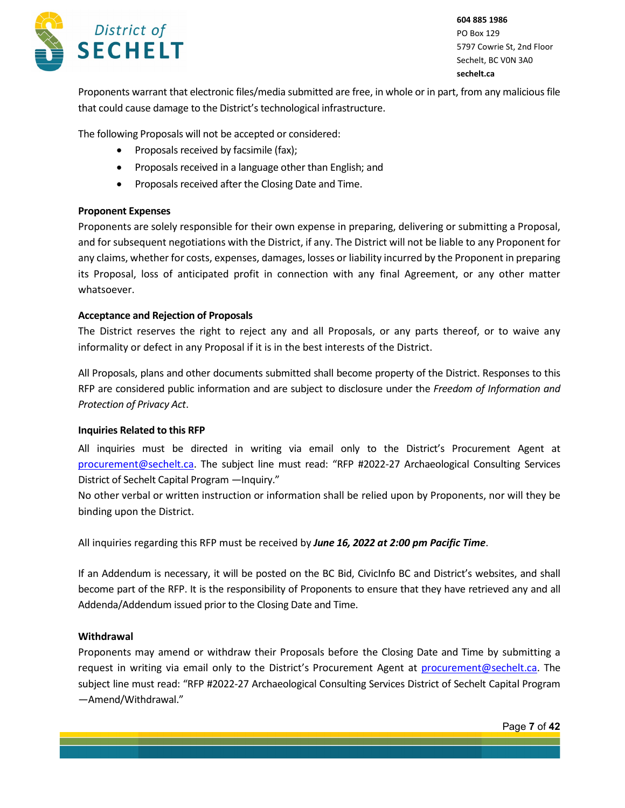

Proponents warrant that electronic files/media submitted are free, in whole or in part, from any malicious file that could cause damage to the District's technological infrastructure.

The following Proposals will not be accepted or considered:

- Proposals received by facsimile (fax);
- Proposals received in a language other than English; and
- Proposals received after the Closing Date and Time.

#### **Proponent Expenses**

Proponents are solely responsible for their own expense in preparing, delivering or submitting a Proposal, and for subsequent negotiations with the District, if any. The District will not be liable to any Proponent for any claims, whether for costs, expenses, damages, losses or liability incurred by the Proponent in preparing its Proposal, loss of anticipated profit in connection with any final Agreement, or any other matter whatsoever.

#### **Acceptance and Rejection of Proposals**

The District reserves the right to reject any and all Proposals, or any parts thereof, or to waive any informality or defect in any Proposal if it is in the best interests of the District.

All Proposals, plans and other documents submitted shall become property of the District. Responses to this RFP are considered public information and are subject to disclosure under the *Freedom of Information and Protection of Privacy Act*.

#### **Inquiries Related to this RFP**

All inquiries must be directed in writing via email only to the District's Procurement Agent at [procurement@sechelt.ca.](mailto:procurement@sechelt.ca) The subject line must read: "RFP #2022-27 Archaeological Consulting Services District of Sechelt Capital Program —Inquiry."

No other verbal or written instruction or information shall be relied upon by Proponents, nor will they be binding upon the District.

All inquiries regarding this RFP must be received by *June 16, 2022 at 2:00 pm Pacific Time*.

If an Addendum is necessary, it will be posted on the BC Bid, CivicInfo BC and District's websites, and shall become part of the RFP. It is the responsibility of Proponents to ensure that they have retrieved any and all Addenda/Addendum issued prior to the Closing Date and Time.

#### **Withdrawal**

Proponents may amend or withdraw their Proposals before the Closing Date and Time by submitting a request in writing via email only to the District's Procurement Agent at [procurement@sechelt.ca.](mailto:procurement@sechelt.ca) The subject line must read: "RFP #2022-27 Archaeological Consulting Services District of Sechelt Capital Program —Amend/Withdrawal."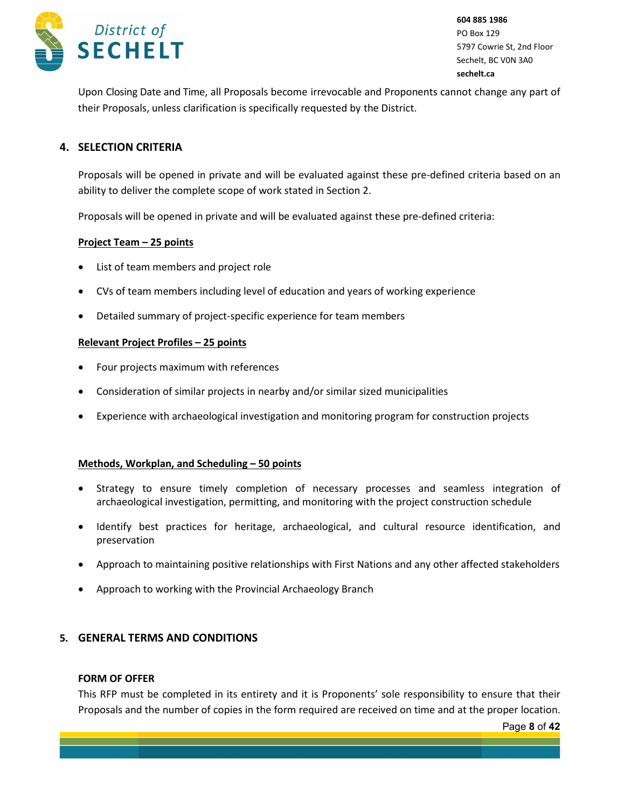

Upon Closing Date and Time, all Proposals become irrevocable and Proponents cannot change any part of their Proposals, unless clarification is specifically requested by the District.

### **4. SELECTION CRITERIA**

Proposals will be opened in private and will be evaluated against these pre-defined criteria based on an ability to deliver the complete scope of work stated in Section 2.

Proposals will be opened in private and will be evaluated against these pre-defined criteria:

#### **Project Team – 25 points**

- List of team members and project role
- CVs of team members including level of education and years of working experience
- Detailed summary of project-specific experience for team members

#### **Relevant Project Profiles – 25 points**

- Four projects maximum with references
- Consideration of similar projects in nearby and/or similar sized municipalities
- Experience with archaeological investigation and monitoring program for construction projects

#### **Methods, Workplan, and Scheduling – 50 points**

- Strategy to ensure timely completion of necessary processes and seamless integration of archaeological investigation, permitting, and monitoring with the project construction schedule
- Identify best practices for heritage, archaeological, and cultural resource identification, and preservation
- Approach to maintaining positive relationships with First Nations and any other affected stakeholders
- Approach to working with the Provincial Archaeology Branch

#### **5. GENERAL TERMS AND CONDITIONS**

#### **FORM OF OFFER**

This RFP must be completed in its entirety and it is Proponents' sole responsibility to ensure that their Proposals and the number of copies in the form required are received on time and at the proper location.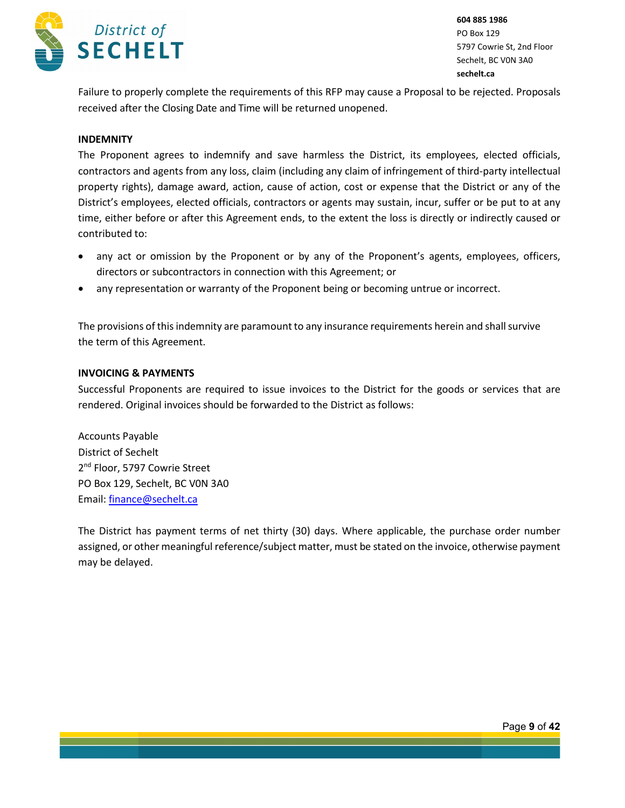

Failure to properly complete the requirements of this RFP may cause a Proposal to be rejected. Proposals received after the Closing Date and Time will be returned unopened.

#### **INDEMNITY**

The Proponent agrees to indemnify and save harmless the District, its employees, elected officials, contractors and agents from any loss, claim (including any claim of infringement of third-party intellectual property rights), damage award, action, cause of action, cost or expense that the District or any of the District's employees, elected officials, contractors or agents may sustain, incur, suffer or be put to at any time, either before or after this Agreement ends, to the extent the loss is directly or indirectly caused or contributed to:

- any act or omission by the Proponent or by any of the Proponent's agents, employees, officers, directors or subcontractors in connection with this Agreement; or
- any representation or warranty of the Proponent being or becoming untrue or incorrect.

The provisions of this indemnity are paramount to any insurance requirements herein and shall survive the term of this Agreement.

#### **INVOICING & PAYMENTS**

Successful Proponents are required to issue invoices to the District for the goods or services that are rendered. Original invoices should be forwarded to the District as follows:

Accounts Payable District of Sechelt 2<sup>nd</sup> Floor, 5797 Cowrie Street PO Box 129, Sechelt, BC V0N 3A0 Email[: finance@sechelt.ca](mailto:finance@sechelt.ca)

The District has payment terms of net thirty (30) days. Where applicable, the purchase order number assigned, or other meaningful reference/subject matter, must be stated on the invoice, otherwise payment may be delayed.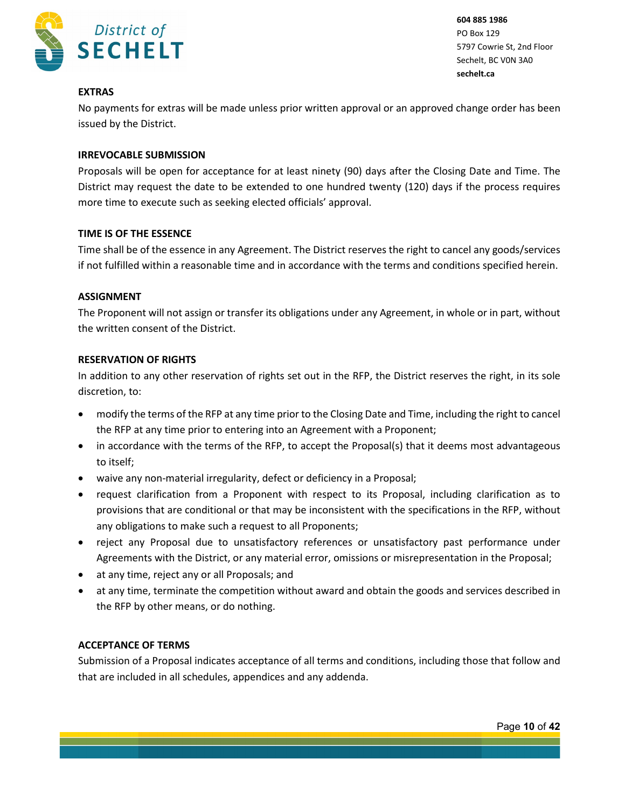

### **EXTRAS**

No payments for extras will be made unless prior written approval or an approved change order has been issued by the District.

### **IRREVOCABLE SUBMISSION**

Proposals will be open for acceptance for at least ninety (90) days after the Closing Date and Time. The District may request the date to be extended to one hundred twenty (120) days if the process requires more time to execute such as seeking elected officials' approval.

#### **TIME IS OF THE ESSENCE**

Time shall be of the essence in any Agreement. The District reserves the right to cancel any goods/services if not fulfilled within a reasonable time and in accordance with the terms and conditions specified herein.

#### **ASSIGNMENT**

The Proponent will not assign or transfer its obligations under any Agreement, in whole or in part, without the written consent of the District.

#### **RESERVATION OF RIGHTS**

In addition to any other reservation of rights set out in the RFP, the District reserves the right, in its sole discretion, to:

- modify the terms of the RFP at any time prior to the Closing Date and Time, including the right to cancel the RFP at any time prior to entering into an Agreement with a Proponent;
- in accordance with the terms of the RFP, to accept the Proposal(s) that it deems most advantageous to itself;
- waive any non-material irregularity, defect or deficiency in a Proposal;
- request clarification from a Proponent with respect to its Proposal, including clarification as to provisions that are conditional or that may be inconsistent with the specifications in the RFP, without any obligations to make such a request to all Proponents;
- reject any Proposal due to unsatisfactory references or unsatisfactory past performance under Agreements with the District, or any material error, omissions or misrepresentation in the Proposal;
- at any time, reject any or all Proposals; and
- at any time, terminate the competition without award and obtain the goods and services described in the RFP by other means, or do nothing.

### **ACCEPTANCE OF TERMS**

Submission of a Proposal indicates acceptance of all terms and conditions, including those that follow and that are included in all schedules, appendices and any addenda.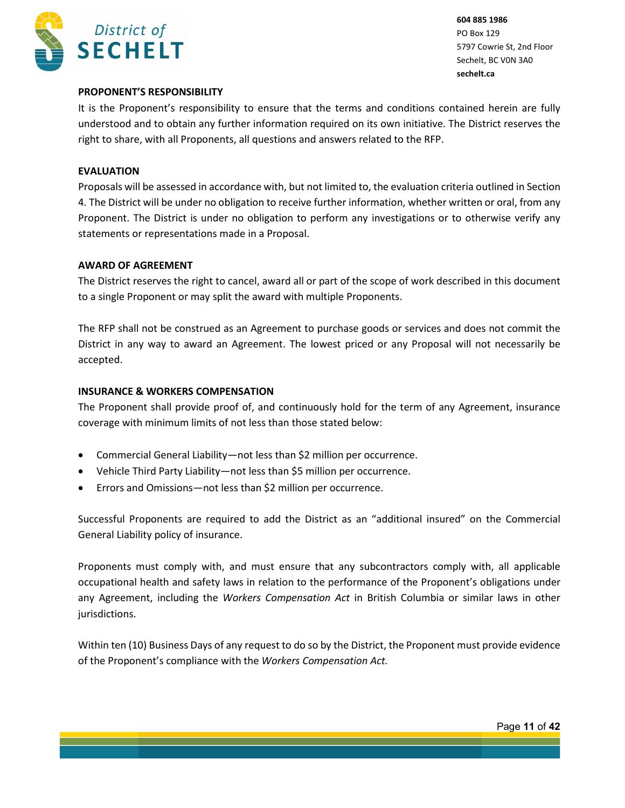

### **PROPONENT'S RESPONSIBILITY**

It is the Proponent's responsibility to ensure that the terms and conditions contained herein are fully understood and to obtain any further information required on its own initiative. The District reserves the right to share, with all Proponents, all questions and answers related to the RFP.

### **EVALUATION**

Proposals will be assessed in accordance with, but not limited to, the evaluation criteria outlined in Section 4. The District will be under no obligation to receive further information, whether written or oral, from any Proponent. The District is under no obligation to perform any investigations or to otherwise verify any statements or representations made in a Proposal.

#### **AWARD OF AGREEMENT**

The District reserves the right to cancel, award all or part of the scope of work described in this document to a single Proponent or may split the award with multiple Proponents.

The RFP shall not be construed as an Agreement to purchase goods or services and does not commit the District in any way to award an Agreement. The lowest priced or any Proposal will not necessarily be accepted.

#### **INSURANCE & WORKERS COMPENSATION**

The Proponent shall provide proof of, and continuously hold for the term of any Agreement, insurance coverage with minimum limits of not less than those stated below:

- Commercial General Liability—not less than \$2 million per occurrence.
- Vehicle Third Party Liability—not less than \$5 million per occurrence.
- Errors and Omissions—not less than \$2 million per occurrence.

Successful Proponents are required to add the District as an "additional insured" on the Commercial General Liability policy of insurance.

Proponents must comply with, and must ensure that any subcontractors comply with, all applicable occupational health and safety laws in relation to the performance of the Proponent's obligations under any Agreement, including the *Workers Compensation Act* in British Columbia or similar laws in other jurisdictions.

Within ten (10) Business Days of any request to do so by the District, the Proponent must provide evidence of the Proponent's compliance with the *Workers Compensation Act.*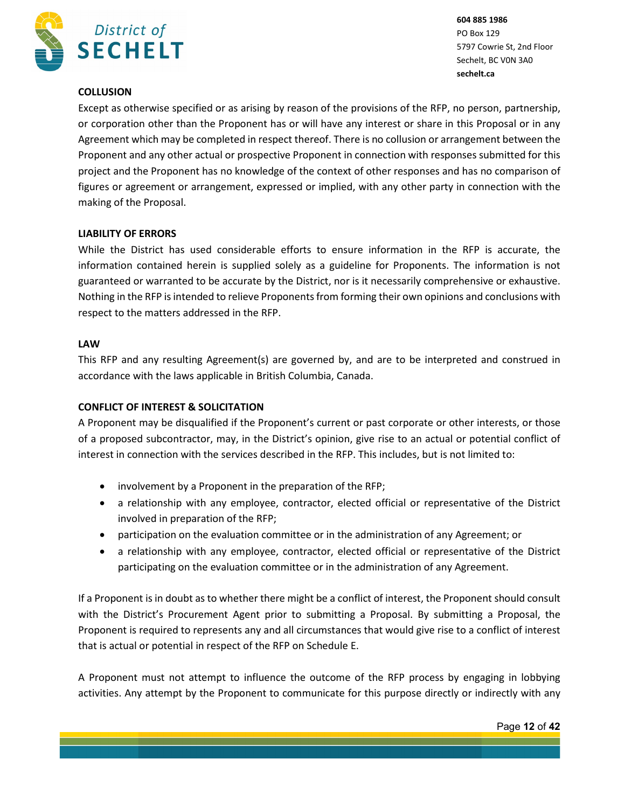

### **COLLUSION**

Except as otherwise specified or as arising by reason of the provisions of the RFP, no person, partnership, or corporation other than the Proponent has or will have any interest or share in this Proposal or in any Agreement which may be completed in respect thereof. There is no collusion or arrangement between the Proponent and any other actual or prospective Proponent in connection with responses submitted for this project and the Proponent has no knowledge of the context of other responses and has no comparison of figures or agreement or arrangement, expressed or implied, with any other party in connection with the making of the Proposal.

### **LIABILITY OF ERRORS**

While the District has used considerable efforts to ensure information in the RFP is accurate, the information contained herein is supplied solely as a guideline for Proponents. The information is not guaranteed or warranted to be accurate by the District, nor is it necessarily comprehensive or exhaustive. Nothing in the RFP is intended to relieve Proponents from forming their own opinions and conclusions with respect to the matters addressed in the RFP.

### **LAW**

This RFP and any resulting Agreement(s) are governed by, and are to be interpreted and construed in accordance with the laws applicable in British Columbia, Canada.

### **CONFLICT OF INTEREST & SOLICITATION**

A Proponent may be disqualified if the Proponent's current or past corporate or other interests, or those of a proposed subcontractor, may, in the District's opinion, give rise to an actual or potential conflict of interest in connection with the services described in the RFP. This includes, but is not limited to:

- involvement by a Proponent in the preparation of the RFP;
- a relationship with any employee, contractor, elected official or representative of the District involved in preparation of the RFP;
- participation on the evaluation committee or in the administration of any Agreement; or
- a relationship with any employee, contractor, elected official or representative of the District participating on the evaluation committee or in the administration of any Agreement.

If a Proponent is in doubt as to whether there might be a conflict of interest, the Proponent should consult with the District's Procurement Agent prior to submitting a Proposal. By submitting a Proposal, the Proponent is required to represents any and all circumstances that would give rise to a conflict of interest that is actual or potential in respect of the RFP on Schedule E.

A Proponent must not attempt to influence the outcome of the RFP process by engaging in lobbying activities. Any attempt by the Proponent to communicate for this purpose directly or indirectly with any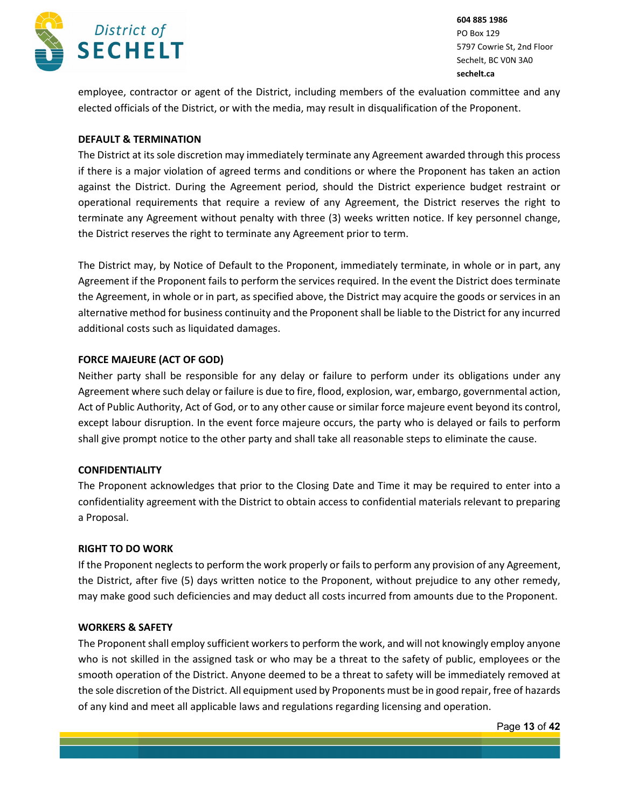

employee, contractor or agent of the District, including members of the evaluation committee and any elected officials of the District, or with the media, may result in disqualification of the Proponent.

### **DEFAULT & TERMINATION**

The District at its sole discretion may immediately terminate any Agreement awarded through this process if there is a major violation of agreed terms and conditions or where the Proponent has taken an action against the District. During the Agreement period, should the District experience budget restraint or operational requirements that require a review of any Agreement, the District reserves the right to terminate any Agreement without penalty with three (3) weeks written notice. If key personnel change, the District reserves the right to terminate any Agreement prior to term.

The District may, by Notice of Default to the Proponent, immediately terminate, in whole or in part, any Agreement if the Proponent fails to perform the services required. In the event the District does terminate the Agreement, in whole or in part, as specified above, the District may acquire the goods or services in an alternative method for business continuity and the Proponent shall be liable to the District for any incurred additional costs such as liquidated damages.

#### **FORCE MAJEURE (ACT OF GOD)**

Neither party shall be responsible for any delay or failure to perform under its obligations under any Agreement where such delay or failure is due to fire, flood, explosion, war, embargo, governmental action, Act of Public Authority, Act of God, or to any other cause or similar force majeure event beyond its control, except labour disruption. In the event force majeure occurs, the party who is delayed or fails to perform shall give prompt notice to the other party and shall take all reasonable steps to eliminate the cause.

### **CONFIDENTIALITY**

The Proponent acknowledges that prior to the Closing Date and Time it may be required to enter into a confidentiality agreement with the District to obtain access to confidential materials relevant to preparing a Proposal.

#### **RIGHT TO DO WORK**

If the Proponent neglects to perform the work properly or fails to perform any provision of any Agreement, the District, after five (5) days written notice to the Proponent, without prejudice to any other remedy, may make good such deficiencies and may deduct all costs incurred from amounts due to the Proponent.

#### **WORKERS & SAFETY**

The Proponent shall employ sufficient workers to perform the work, and will not knowingly employ anyone who is not skilled in the assigned task or who may be a threat to the safety of public, employees or the smooth operation of the District. Anyone deemed to be a threat to safety will be immediately removed at the sole discretion of the District. All equipment used by Proponents must be in good repair, free of hazards of any kind and meet all applicable laws and regulations regarding licensing and operation.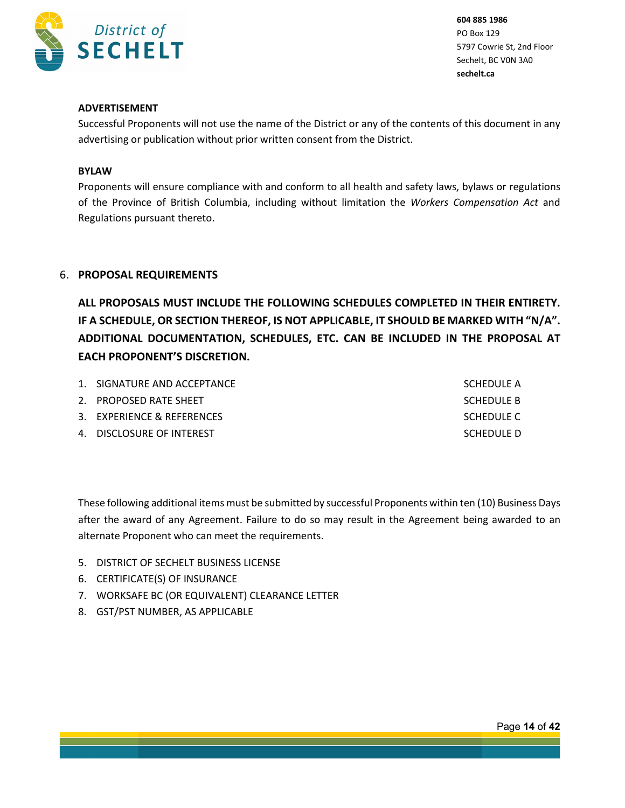

### **ADVERTISEMENT**

Successful Proponents will not use the name of the District or any of the contents of this document in any advertising or publication without prior written consent from the District.

#### **BYLAW**

Proponents will ensure compliance with and conform to all health and safety laws, bylaws or regulations of the Province of British Columbia, including without limitation the *Workers Compensation Act* and Regulations pursuant thereto.

### 6. **PROPOSAL REQUIREMENTS**

**ALL PROPOSALS MUST INCLUDE THE FOLLOWING SCHEDULES COMPLETED IN THEIR ENTIRETY. IF A SCHEDULE, OR SECTION THEREOF, IS NOT APPLICABLE, IT SHOULD BE MARKED WITH "N/A". ADDITIONAL DOCUMENTATION, SCHEDULES, ETC. CAN BE INCLUDED IN THE PROPOSAL AT EACH PROPONENT'S DISCRETION.**

| 1. SIGNATURE AND ACCEPTANCE | SCHEDULE A |
|-----------------------------|------------|
| 2. PROPOSED RATE SHEET      | SCHEDULE B |
| 3. EXPERIENCE & REFERENCES  | SCHEDULE C |
| 4. DISCLOSURE OF INTEREST   | SCHEDULE D |

These following additional items must be submitted by successful Proponents within ten (10) Business Days after the award of any Agreement. Failure to do so may result in the Agreement being awarded to an alternate Proponent who can meet the requirements.

- 5. DISTRICT OF SECHELT BUSINESS LICENSE
- 6. CERTIFICATE(S) OF INSURANCE
- 7. WORKSAFE BC (OR EQUIVALENT) CLEARANCE LETTER
- 8. GST/PST NUMBER, AS APPLICABLE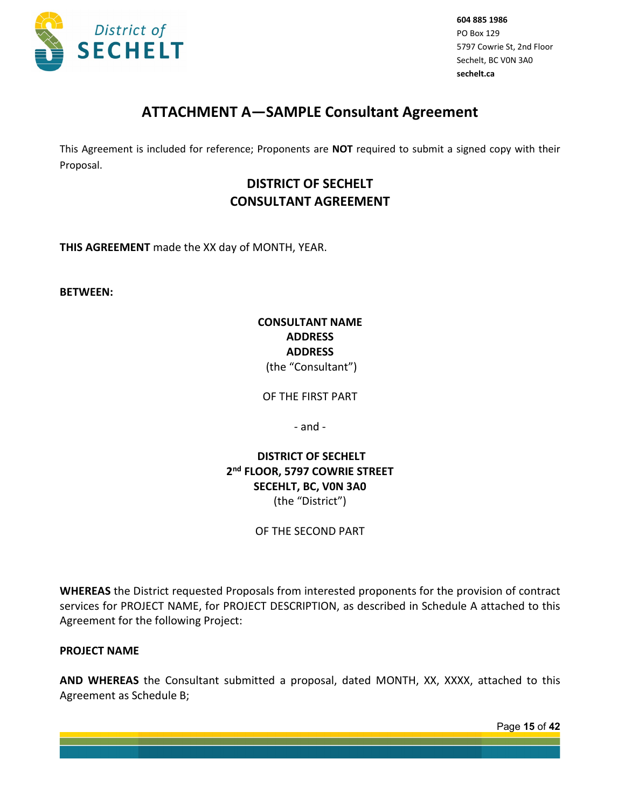

# **ATTACHMENT A—SAMPLE Consultant Agreement**

This Agreement is included for reference; Proponents are **NOT** required to submit a signed copy with their Proposal.

# **DISTRICT OF SECHELT CONSULTANT AGREEMENT**

**THIS AGREEMENT** made the XX day of MONTH, YEAR.

**BETWEEN:**

## **CONSULTANT NAME ADDRESS ADDRESS** (the "Consultant")

OF THE FIRST PART

- and -

**DISTRICT OF SECHELT 2nd FLOOR, 5797 COWRIE STREET SECEHLT, BC, V0N 3A0** (the "District")

## OF THE SECOND PART

**WHEREAS** the District requested Proposals from interested proponents for the provision of contract services for PROJECT NAME, for PROJECT DESCRIPTION, as described in Schedule A attached to this Agreement for the following Project:

### **PROJECT NAME**

**AND WHEREAS** the Consultant submitted a proposal, dated MONTH, XX, XXXX, attached to this Agreement as Schedule B;

Page **15** of **42**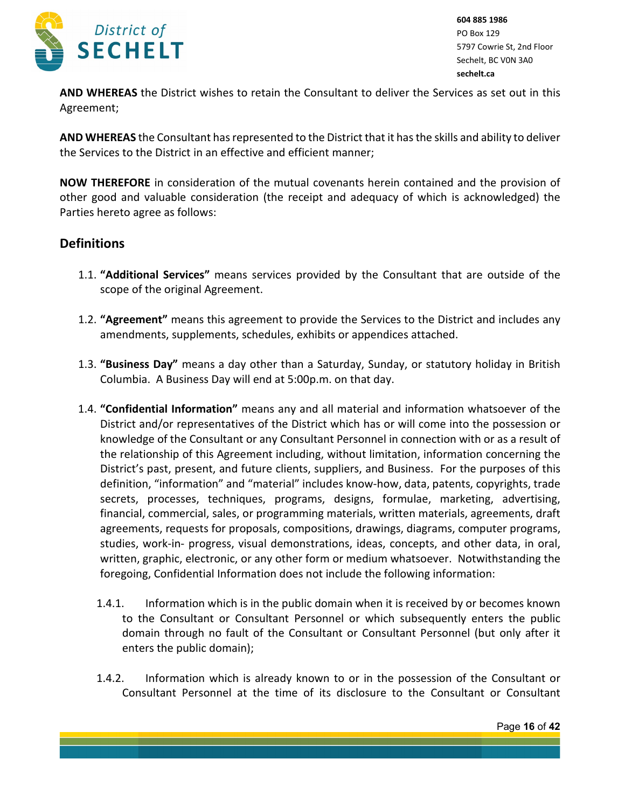

**AND WHEREAS** the District wishes to retain the Consultant to deliver the Services as set out in this Agreement;

**AND WHEREAS** the Consultant has represented to the District that it has the skills and ability to deliver the Services to the District in an effective and efficient manner;

**NOW THEREFORE** in consideration of the mutual covenants herein contained and the provision of other good and valuable consideration (the receipt and adequacy of which is acknowledged) the Parties hereto agree as follows:

# **Definitions**

- 1.1. **"Additional Services"** means services provided by the Consultant that are outside of the scope of the original Agreement.
- 1.2. **"Agreement"** means this agreement to provide the Services to the District and includes any amendments, supplements, schedules, exhibits or appendices attached.
- 1.3. **"Business Day"** means a day other than a Saturday, Sunday, or statutory holiday in British Columbia. A Business Day will end at 5:00p.m. on that day.
- 1.4. **"Confidential Information"** means any and all material and information whatsoever of the District and/or representatives of the District which has or will come into the possession or knowledge of the Consultant or any Consultant Personnel in connection with or as a result of the relationship of this Agreement including, without limitation, information concerning the District's past, present, and future clients, suppliers, and Business. For the purposes of this definition, "information" and "material" includes know-how, data, patents, copyrights, trade secrets, processes, techniques, programs, designs, formulae, marketing, advertising, financial, commercial, sales, or programming materials, written materials, agreements, draft agreements, requests for proposals, compositions, drawings, diagrams, computer programs, studies, work-in- progress, visual demonstrations, ideas, concepts, and other data, in oral, written, graphic, electronic, or any other form or medium whatsoever. Notwithstanding the foregoing, Confidential Information does not include the following information:
	- 1.4.1. Information which is in the public domain when it is received by or becomes known to the Consultant or Consultant Personnel or which subsequently enters the public domain through no fault of the Consultant or Consultant Personnel (but only after it enters the public domain);
	- 1.4.2. Information which is already known to or in the possession of the Consultant or Consultant Personnel at the time of its disclosure to the Consultant or Consultant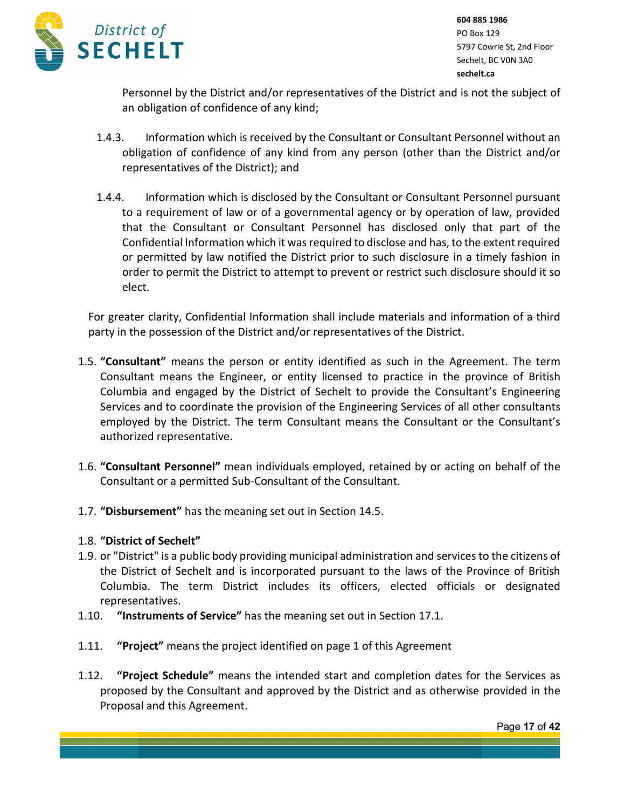

Personnel by the District and/or representatives of the District and is not the subject of an obligation of confidence of any kind;

- 1.4.3. Information which is received by the Consultant or Consultant Personnel without an obligation of confidence of any kind from any person (other than the District and/or representatives of the District); and
- 1.4.4. Information which is disclosed by the Consultant or Consultant Personnel pursuant to a requirement of law or of a governmental agency or by operation of law, provided that the Consultant or Consultant Personnel has disclosed only that part of the Confidential Information which it was required to disclose and has, to the extent required or permitted by law notified the District prior to such disclosure in a timely fashion in order to permit the District to attempt to prevent or restrict such disclosure should it so elect.

For greater clarity, Confidential Information shall include materials and information of a third party in the possession of the District and/or representatives of the District.

- 1.5. **"Consultant"** means the person or entity identified as such in the Agreement. The term Consultant means the Engineer, or entity licensed to practice in the province of British Columbia and engaged by the District of Sechelt to provide the Consultant's Engineering Services and to coordinate the provision of the Engineering Services of all other consultants employed by the District. The term Consultant means the Consultant or the Consultant's authorized representative.
- 1.6. **"Consultant Personnel"** mean individuals employed, retained by or acting on behalf of the Consultant or a permitted Sub-Consultant of the Consultant.
- 1.7. **"Disbursement"** has the meaning set out in Section 14.5.

## 1.8. **"District of Sechelt"**

- 1.9. or "District" is a public body providing municipal administration and services to the citizens of the District of Sechelt and is incorporated pursuant to the laws of the Province of British Columbia. The term District includes its officers, elected officials or designated representatives.
- 1.10. **"Instruments of Service"** has the meaning set out in Section 17.1.
- 1.11. **"Project"** means the project identified on page 1 of this Agreement
- 1.12. **"Project Schedule"** means the intended start and completion dates for the Services as proposed by the Consultant and approved by the District and as otherwise provided in the Proposal and this Agreement.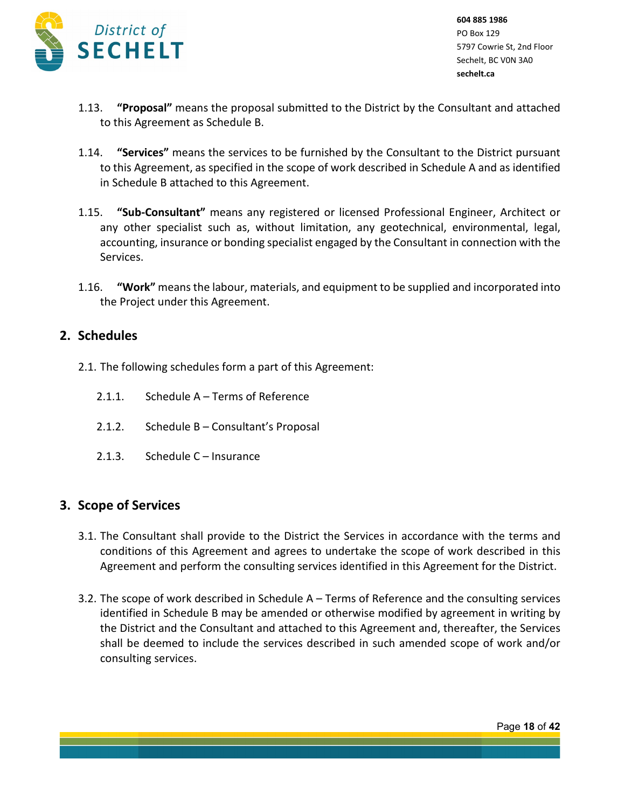

- 1.13. **"Proposal"** means the proposal submitted to the District by the Consultant and attached to this Agreement as Schedule B.
- 1.14. **"Services"** means the services to be furnished by the Consultant to the District pursuant to this Agreement, as specified in the scope of work described in Schedule A and as identified in Schedule B attached to this Agreement.
- 1.15. **"Sub-Consultant"** means any registered or licensed Professional Engineer, Architect or any other specialist such as, without limitation, any geotechnical, environmental, legal, accounting, insurance or bonding specialist engaged by the Consultant in connection with the Services.
- 1.16. **"Work"** means the labour, materials, and equipment to be supplied and incorporated into the Project under this Agreement.

## **2. Schedules**

- 2.1. The following schedules form a part of this Agreement:
	- 2.1.1. Schedule A Terms of Reference
	- 2.1.2. Schedule B Consultant's Proposal
	- 2.1.3. Schedule C Insurance

# **3. Scope of Services**

- 3.1. The Consultant shall provide to the District the Services in accordance with the terms and conditions of this Agreement and agrees to undertake the scope of work described in this Agreement and perform the consulting services identified in this Agreement for the District.
- 3.2. The scope of work described in Schedule A Terms of Reference and the consulting services identified in Schedule B may be amended or otherwise modified by agreement in writing by the District and the Consultant and attached to this Agreement and, thereafter, the Services shall be deemed to include the services described in such amended scope of work and/or consulting services.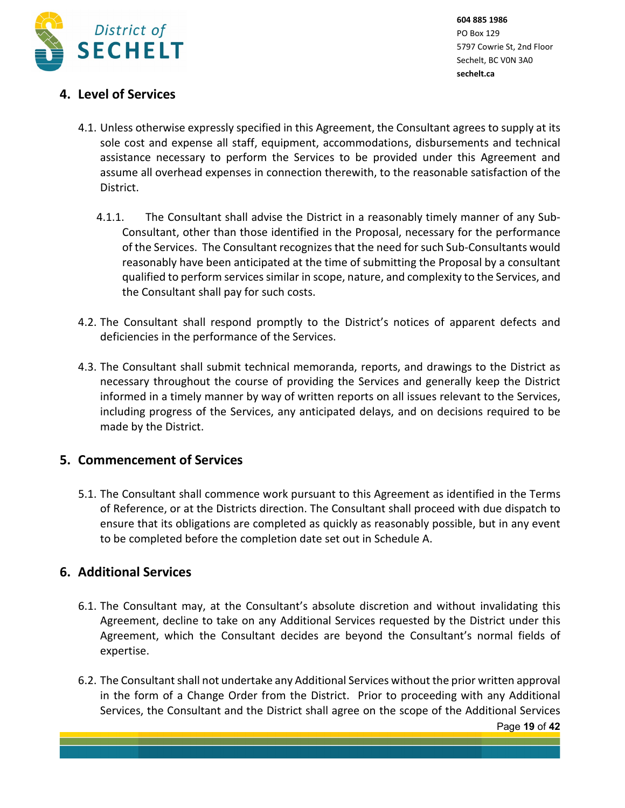

# **4. Level of Services**

- 4.1. Unless otherwise expressly specified in this Agreement, the Consultant agrees to supply at its sole cost and expense all staff, equipment, accommodations, disbursements and technical assistance necessary to perform the Services to be provided under this Agreement and assume all overhead expenses in connection therewith, to the reasonable satisfaction of the District.
	- 4.1.1. The Consultant shall advise the District in a reasonably timely manner of any Sub-Consultant, other than those identified in the Proposal, necessary for the performance of the Services. The Consultant recognizes that the need for such Sub-Consultants would reasonably have been anticipated at the time of submitting the Proposal by a consultant qualified to perform services similar in scope, nature, and complexity to the Services, and the Consultant shall pay for such costs.
- 4.2. The Consultant shall respond promptly to the District's notices of apparent defects and deficiencies in the performance of the Services.
- 4.3. The Consultant shall submit technical memoranda, reports, and drawings to the District as necessary throughout the course of providing the Services and generally keep the District informed in a timely manner by way of written reports on all issues relevant to the Services, including progress of the Services, any anticipated delays, and on decisions required to be made by the District.

# **5. Commencement of Services**

5.1. The Consultant shall commence work pursuant to this Agreement as identified in the Terms of Reference, or at the Districts direction. The Consultant shall proceed with due dispatch to ensure that its obligations are completed as quickly as reasonably possible, but in any event to be completed before the completion date set out in Schedule A.

# **6. Additional Services**

- 6.1. The Consultant may, at the Consultant's absolute discretion and without invalidating this Agreement, decline to take on any Additional Services requested by the District under this Agreement, which the Consultant decides are beyond the Consultant's normal fields of expertise.
- 6.2. The Consultant shall not undertake any Additional Services without the prior written approval in the form of a Change Order from the District. Prior to proceeding with any Additional Services, the Consultant and the District shall agree on the scope of the Additional Services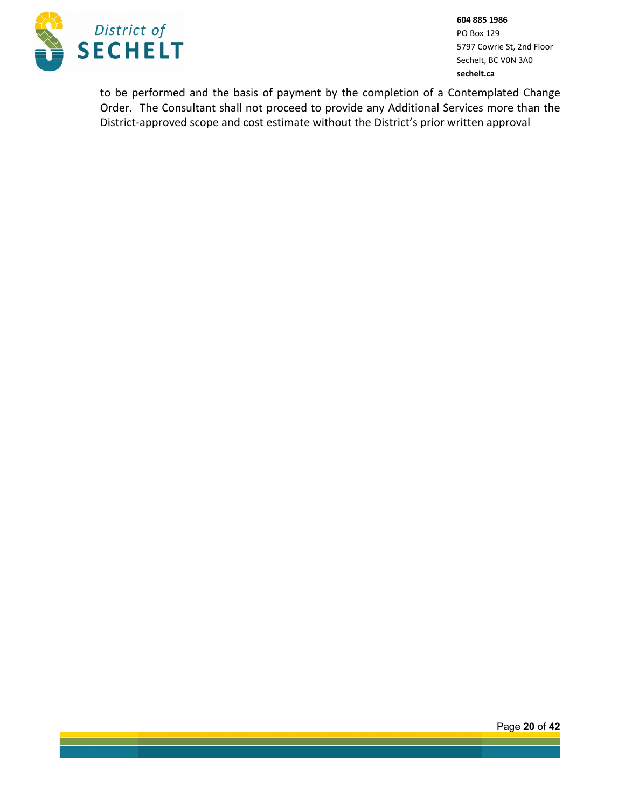

to be performed and the basis of payment by the completion of a Contemplated Change Order. The Consultant shall not proceed to provide any Additional Services more than the District-approved scope and cost estimate without the District's prior written approval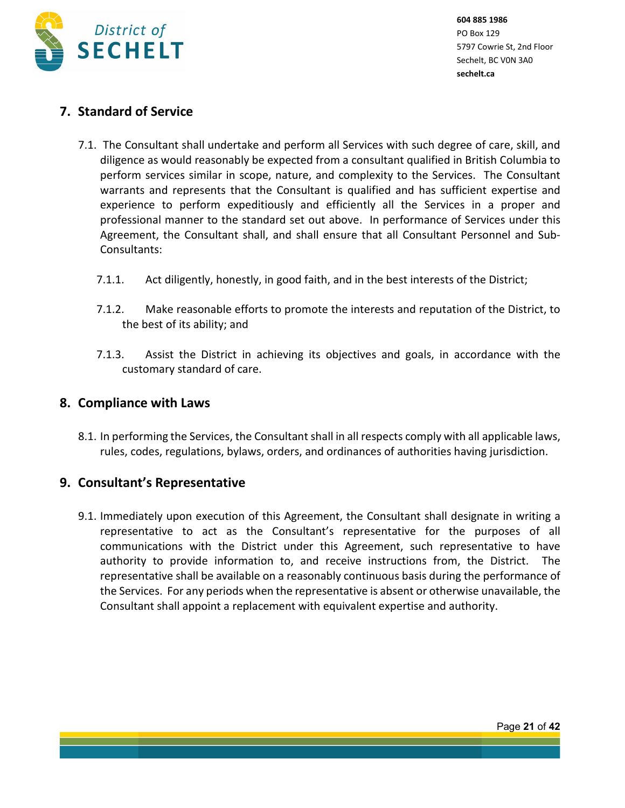

# **7. Standard of Service**

- 7.1. The Consultant shall undertake and perform all Services with such degree of care, skill, and diligence as would reasonably be expected from a consultant qualified in British Columbia to perform services similar in scope, nature, and complexity to the Services. The Consultant warrants and represents that the Consultant is qualified and has sufficient expertise and experience to perform expeditiously and efficiently all the Services in a proper and professional manner to the standard set out above. In performance of Services under this Agreement, the Consultant shall, and shall ensure that all Consultant Personnel and Sub-Consultants:
	- 7.1.1. Act diligently, honestly, in good faith, and in the best interests of the District;
	- 7.1.2. Make reasonable efforts to promote the interests and reputation of the District, to the best of its ability; and
	- 7.1.3. Assist the District in achieving its objectives and goals, in accordance with the customary standard of care.

## **8. Compliance with Laws**

8.1. In performing the Services, the Consultant shall in all respects comply with all applicable laws, rules, codes, regulations, bylaws, orders, and ordinances of authorities having jurisdiction.

# **9. Consultant's Representative**

9.1. Immediately upon execution of this Agreement, the Consultant shall designate in writing a representative to act as the Consultant's representative for the purposes of all communications with the District under this Agreement, such representative to have authority to provide information to, and receive instructions from, the District. The representative shall be available on a reasonably continuous basis during the performance of the Services. For any periods when the representative is absent or otherwise unavailable, the Consultant shall appoint a replacement with equivalent expertise and authority.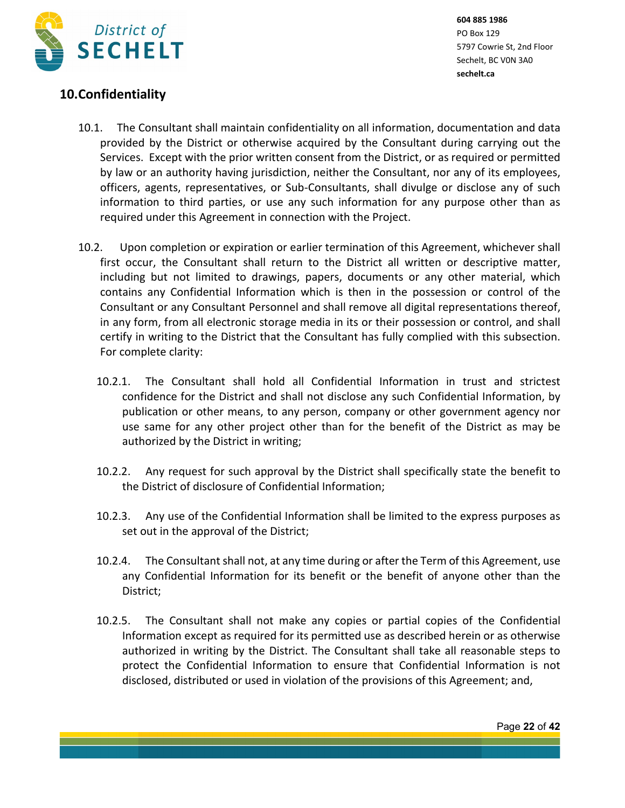

# **10.Confidentiality**

- 10.1. The Consultant shall maintain confidentiality on all information, documentation and data provided by the District or otherwise acquired by the Consultant during carrying out the Services. Except with the prior written consent from the District, or as required or permitted by law or an authority having jurisdiction, neither the Consultant, nor any of its employees, officers, agents, representatives, or Sub-Consultants, shall divulge or disclose any of such information to third parties, or use any such information for any purpose other than as required under this Agreement in connection with the Project.
- 10.2. Upon completion or expiration or earlier termination of this Agreement, whichever shall first occur, the Consultant shall return to the District all written or descriptive matter, including but not limited to drawings, papers, documents or any other material, which contains any Confidential Information which is then in the possession or control of the Consultant or any Consultant Personnel and shall remove all digital representations thereof, in any form, from all electronic storage media in its or their possession or control, and shall certify in writing to the District that the Consultant has fully complied with this subsection. For complete clarity:
	- 10.2.1. The Consultant shall hold all Confidential Information in trust and strictest confidence for the District and shall not disclose any such Confidential Information, by publication or other means, to any person, company or other government agency nor use same for any other project other than for the benefit of the District as may be authorized by the District in writing;
	- 10.2.2. Any request for such approval by the District shall specifically state the benefit to the District of disclosure of Confidential Information;
	- 10.2.3. Any use of the Confidential Information shall be limited to the express purposes as set out in the approval of the District;
	- 10.2.4. The Consultant shall not, at any time during or after the Term of this Agreement, use any Confidential Information for its benefit or the benefit of anyone other than the District;
	- 10.2.5. The Consultant shall not make any copies or partial copies of the Confidential Information except as required for its permitted use as described herein or as otherwise authorized in writing by the District. The Consultant shall take all reasonable steps to protect the Confidential Information to ensure that Confidential Information is not disclosed, distributed or used in violation of the provisions of this Agreement; and,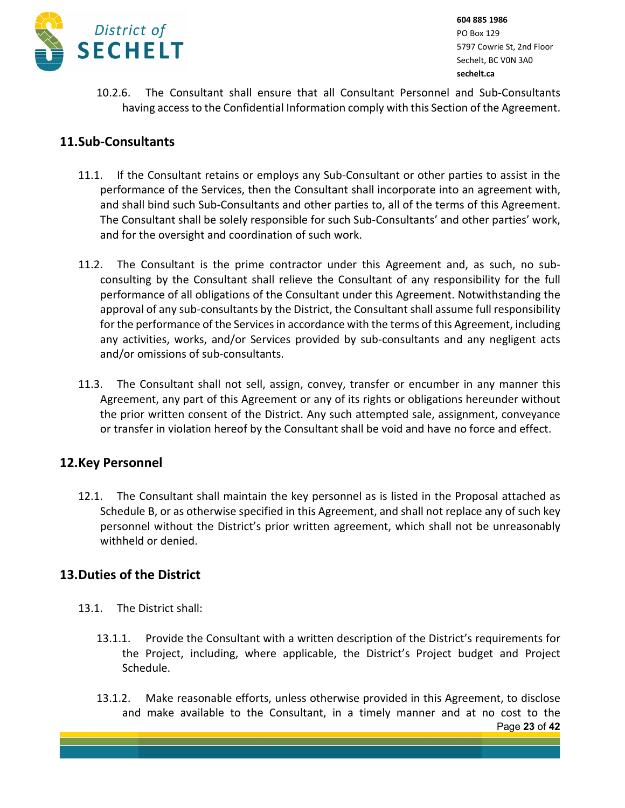

10.2.6. The Consultant shall ensure that all Consultant Personnel and Sub-Consultants having access to the Confidential Information comply with this Section of the Agreement.

# **11.Sub-Consultants**

- 11.1. If the Consultant retains or employs any Sub-Consultant or other parties to assist in the performance of the Services, then the Consultant shall incorporate into an agreement with, and shall bind such Sub-Consultants and other parties to, all of the terms of this Agreement. The Consultant shall be solely responsible for such Sub-Consultants' and other parties' work, and for the oversight and coordination of such work.
- 11.2. The Consultant is the prime contractor under this Agreement and, as such, no subconsulting by the Consultant shall relieve the Consultant of any responsibility for the full performance of all obligations of the Consultant under this Agreement. Notwithstanding the approval of any sub-consultants by the District, the Consultant shall assume full responsibility for the performance of the Services in accordance with the terms of this Agreement, including any activities, works, and/or Services provided by sub-consultants and any negligent acts and/or omissions of sub-consultants.
- 11.3. The Consultant shall not sell, assign, convey, transfer or encumber in any manner this Agreement, any part of this Agreement or any of its rights or obligations hereunder without the prior written consent of the District. Any such attempted sale, assignment, conveyance or transfer in violation hereof by the Consultant shall be void and have no force and effect.

# **12.Key Personnel**

12.1. The Consultant shall maintain the key personnel as is listed in the Proposal attached as Schedule B, or as otherwise specified in this Agreement, and shall not replace any of such key personnel without the District's prior written agreement, which shall not be unreasonably withheld or denied.

# **13.Duties of the District**

- 13.1. The District shall:
	- 13.1.1. Provide the Consultant with a written description of the District's requirements for the Project, including, where applicable, the District's Project budget and Project Schedule.
	- Page **23** of **42** 13.1.2. Make reasonable efforts, unless otherwise provided in this Agreement, to disclose and make available to the Consultant, in a timely manner and at no cost to the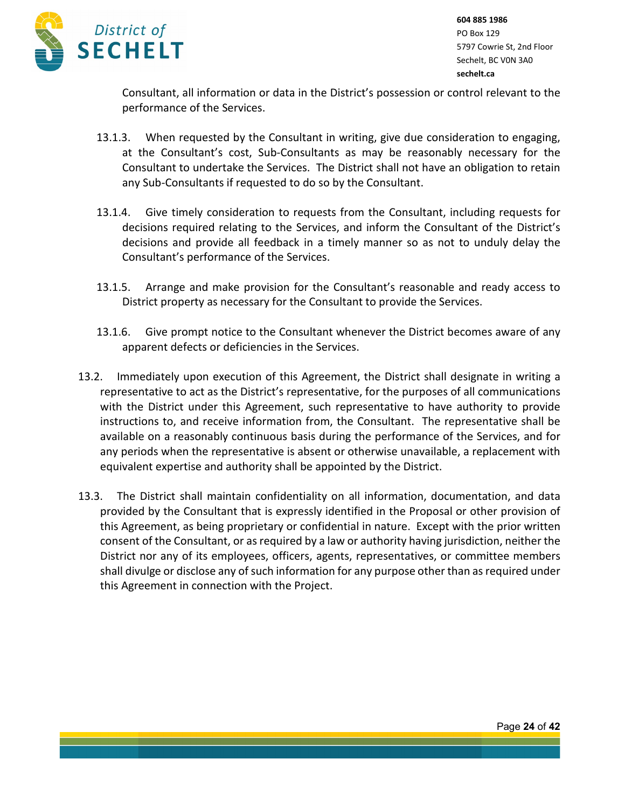

Consultant, all information or data in the District's possession or control relevant to the performance of the Services.

- 13.1.3. When requested by the Consultant in writing, give due consideration to engaging, at the Consultant's cost, Sub-Consultants as may be reasonably necessary for the Consultant to undertake the Services. The District shall not have an obligation to retain any Sub-Consultants if requested to do so by the Consultant.
- 13.1.4. Give timely consideration to requests from the Consultant, including requests for decisions required relating to the Services, and inform the Consultant of the District's decisions and provide all feedback in a timely manner so as not to unduly delay the Consultant's performance of the Services.
- 13.1.5. Arrange and make provision for the Consultant's reasonable and ready access to District property as necessary for the Consultant to provide the Services.
- 13.1.6. Give prompt notice to the Consultant whenever the District becomes aware of any apparent defects or deficiencies in the Services.
- 13.2. Immediately upon execution of this Agreement, the District shall designate in writing a representative to act as the District's representative, for the purposes of all communications with the District under this Agreement, such representative to have authority to provide instructions to, and receive information from, the Consultant. The representative shall be available on a reasonably continuous basis during the performance of the Services, and for any periods when the representative is absent or otherwise unavailable, a replacement with equivalent expertise and authority shall be appointed by the District.
- 13.3. The District shall maintain confidentiality on all information, documentation, and data provided by the Consultant that is expressly identified in the Proposal or other provision of this Agreement, as being proprietary or confidential in nature. Except with the prior written consent of the Consultant, or as required by a law or authority having jurisdiction, neither the District nor any of its employees, officers, agents, representatives, or committee members shall divulge or disclose any of such information for any purpose other than as required under this Agreement in connection with the Project.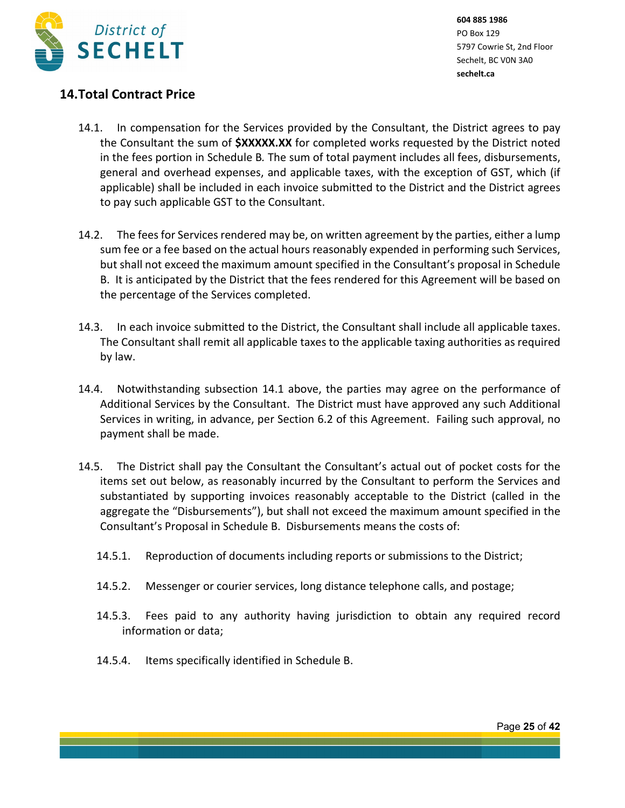

# **14.Total Contract Price**

- 14.1. In compensation for the Services provided by the Consultant, the District agrees to pay the Consultant the sum of **\$XXXXX.XX** for completed works requested by the District noted in the fees portion in Schedule B*.* The sum of total payment includes all fees, disbursements, general and overhead expenses, and applicable taxes, with the exception of GST, which (if applicable) shall be included in each invoice submitted to the District and the District agrees to pay such applicable GST to the Consultant.
- 14.2. The fees for Services rendered may be, on written agreement by the parties, either a lump sum fee or a fee based on the actual hours reasonably expended in performing such Services, but shall not exceed the maximum amount specified in the Consultant's proposal in Schedule B. It is anticipated by the District that the fees rendered for this Agreement will be based on the percentage of the Services completed.
- 14.3. In each invoice submitted to the District, the Consultant shall include all applicable taxes. The Consultant shall remit all applicable taxes to the applicable taxing authorities as required by law.
- 14.4. Notwithstanding subsection 14.1 above, the parties may agree on the performance of Additional Services by the Consultant. The District must have approved any such Additional Services in writing, in advance, per Section 6.2 of this Agreement. Failing such approval, no payment shall be made.
- 14.5. The District shall pay the Consultant the Consultant's actual out of pocket costs for the items set out below, as reasonably incurred by the Consultant to perform the Services and substantiated by supporting invoices reasonably acceptable to the District (called in the aggregate the "Disbursements"), but shall not exceed the maximum amount specified in the Consultant's Proposal in Schedule B. Disbursements means the costs of:
	- 14.5.1. Reproduction of documents including reports or submissions to the District;
	- 14.5.2. Messenger or courier services, long distance telephone calls, and postage;
	- 14.5.3. Fees paid to any authority having jurisdiction to obtain any required record information or data;
	- 14.5.4. Items specifically identified in Schedule B.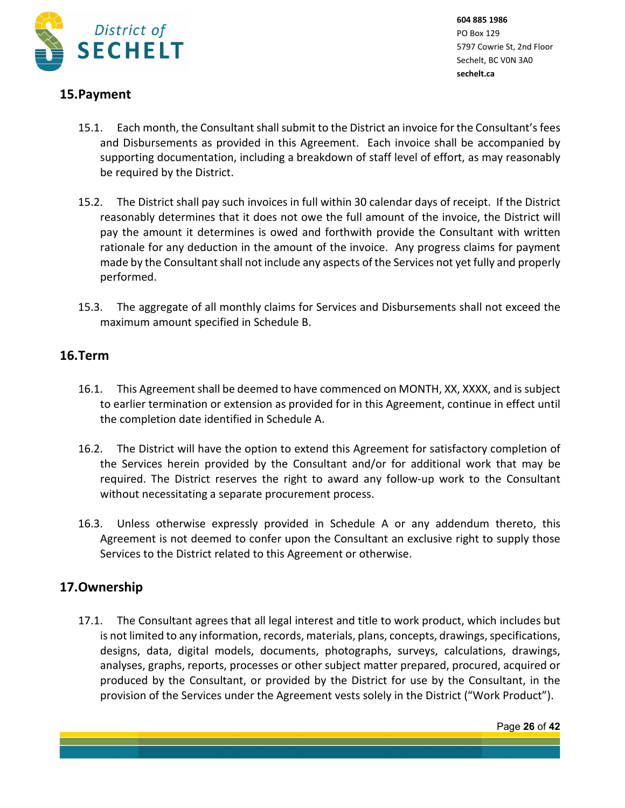

# **15.Payment**

- 15.1. Each month, the Consultant shall submit to the District an invoice for the Consultant's fees and Disbursements as provided in this Agreement. Each invoice shall be accompanied by supporting documentation, including a breakdown of staff level of effort, as may reasonably be required by the District.
- 15.2. The District shall pay such invoices in full within 30 calendar days of receipt. If the District reasonably determines that it does not owe the full amount of the invoice, the District will pay the amount it determines is owed and forthwith provide the Consultant with written rationale for any deduction in the amount of the invoice. Any progress claims for payment made by the Consultant shall not include any aspects of the Services not yet fully and properly performed.
- 15.3. The aggregate of all monthly claims for Services and Disbursements shall not exceed the maximum amount specified in Schedule B.

# **16.Term**

- 16.1. This Agreement shall be deemed to have commenced on MONTH, XX, XXXX, and is subject to earlier termination or extension as provided for in this Agreement, continue in effect until the completion date identified in Schedule A.
- 16.2. The District will have the option to extend this Agreement for satisfactory completion of the Services herein provided by the Consultant and/or for additional work that may be required. The District reserves the right to award any follow-up work to the Consultant without necessitating a separate procurement process.
- 16.3. Unless otherwise expressly provided in Schedule A or any addendum thereto, this Agreement is not deemed to confer upon the Consultant an exclusive right to supply those Services to the District related to this Agreement or otherwise.

# **17.Ownership**

17.1. The Consultant agrees that all legal interest and title to work product, which includes but is not limited to any information, records, materials, plans, concepts, drawings, specifications, designs, data, digital models, documents, photographs, surveys, calculations, drawings, analyses, graphs, reports, processes or other subject matter prepared, procured, acquired or produced by the Consultant, or provided by the District for use by the Consultant, in the provision of the Services under the Agreement vests solely in the District ("Work Product").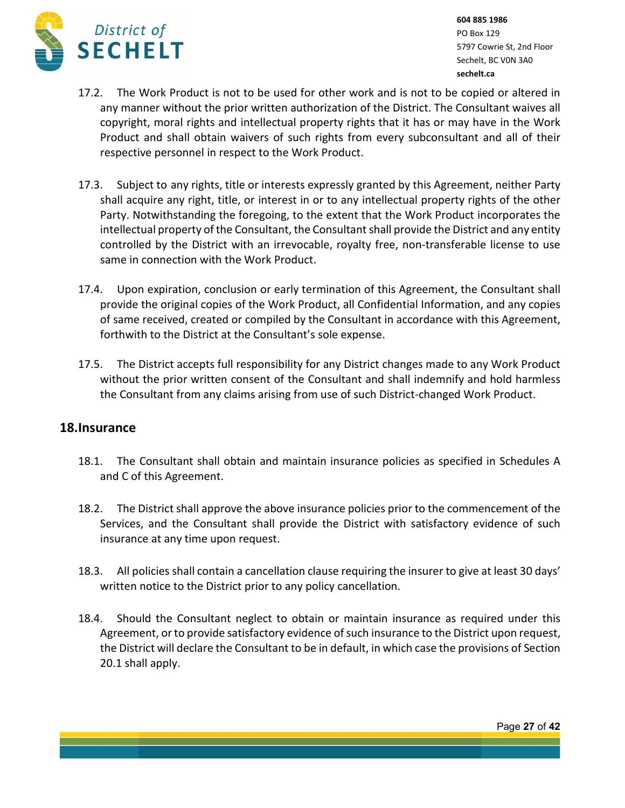

- 17.2. The Work Product is not to be used for other work and is not to be copied or altered in any manner without the prior written authorization of the District. The Consultant waives all copyright, moral rights and intellectual property rights that it has or may have in the Work Product and shall obtain waivers of such rights from every subconsultant and all of their respective personnel in respect to the Work Product.
- 17.3. Subject to any rights, title or interests expressly granted by this Agreement, neither Party shall acquire any right, title, or interest in or to any intellectual property rights of the other Party. Notwithstanding the foregoing, to the extent that the Work Product incorporates the intellectual property of the Consultant, the Consultant shall provide the District and any entity controlled by the District with an irrevocable, royalty free, non-transferable license to use same in connection with the Work Product.
- 17.4. Upon expiration, conclusion or early termination of this Agreement, the Consultant shall provide the original copies of the Work Product, all Confidential Information, and any copies of same received, created or compiled by the Consultant in accordance with this Agreement, forthwith to the District at the Consultant's sole expense.
- 17.5. The District accepts full responsibility for any District changes made to any Work Product without the prior written consent of the Consultant and shall indemnify and hold harmless the Consultant from any claims arising from use of such District-changed Work Product.

## **18.Insurance**

- 18.1. The Consultant shall obtain and maintain insurance policies as specified in Schedules A and C of this Agreement.
- 18.2. The District shall approve the above insurance policies prior to the commencement of the Services, and the Consultant shall provide the District with satisfactory evidence of such insurance at any time upon request.
- 18.3. All policies shall contain a cancellation clause requiring the insurer to give at least 30 days' written notice to the District prior to any policy cancellation.
- 18.4. Should the Consultant neglect to obtain or maintain insurance as required under this Agreement, or to provide satisfactory evidence of such insurance to the District upon request, the District will declare the Consultant to be in default, in which case the provisions of Section 20.1 shall apply.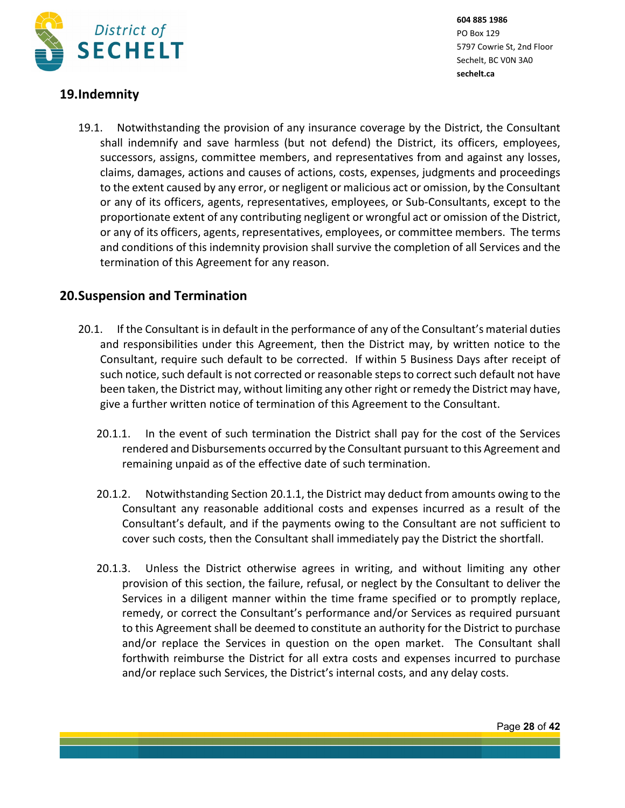

# **19.Indemnity**

19.1. Notwithstanding the provision of any insurance coverage by the District, the Consultant shall indemnify and save harmless (but not defend) the District, its officers, employees, successors, assigns, committee members, and representatives from and against any losses, claims, damages, actions and causes of actions, costs, expenses, judgments and proceedings to the extent caused by any error, or negligent or malicious act or omission, by the Consultant or any of its officers, agents, representatives, employees, or Sub-Consultants, except to the proportionate extent of any contributing negligent or wrongful act or omission of the District, or any of its officers, agents, representatives, employees, or committee members. The terms and conditions of this indemnity provision shall survive the completion of all Services and the termination of this Agreement for any reason.

# **20.Suspension and Termination**

- 20.1. If the Consultant is in default in the performance of any of the Consultant's material duties and responsibilities under this Agreement, then the District may, by written notice to the Consultant, require such default to be corrected. If within 5 Business Days after receipt of such notice, such default is not corrected or reasonable steps to correct such default not have been taken, the District may, without limiting any other right or remedy the District may have, give a further written notice of termination of this Agreement to the Consultant.
	- 20.1.1. In the event of such termination the District shall pay for the cost of the Services rendered and Disbursements occurred by the Consultant pursuant to this Agreement and remaining unpaid as of the effective date of such termination.
	- 20.1.2. Notwithstanding Section 20.1.1, the District may deduct from amounts owing to the Consultant any reasonable additional costs and expenses incurred as a result of the Consultant's default, and if the payments owing to the Consultant are not sufficient to cover such costs, then the Consultant shall immediately pay the District the shortfall.
	- 20.1.3. Unless the District otherwise agrees in writing, and without limiting any other provision of this section, the failure, refusal, or neglect by the Consultant to deliver the Services in a diligent manner within the time frame specified or to promptly replace, remedy, or correct the Consultant's performance and/or Services as required pursuant to this Agreement shall be deemed to constitute an authority for the District to purchase and/or replace the Services in question on the open market. The Consultant shall forthwith reimburse the District for all extra costs and expenses incurred to purchase and/or replace such Services, the District's internal costs, and any delay costs.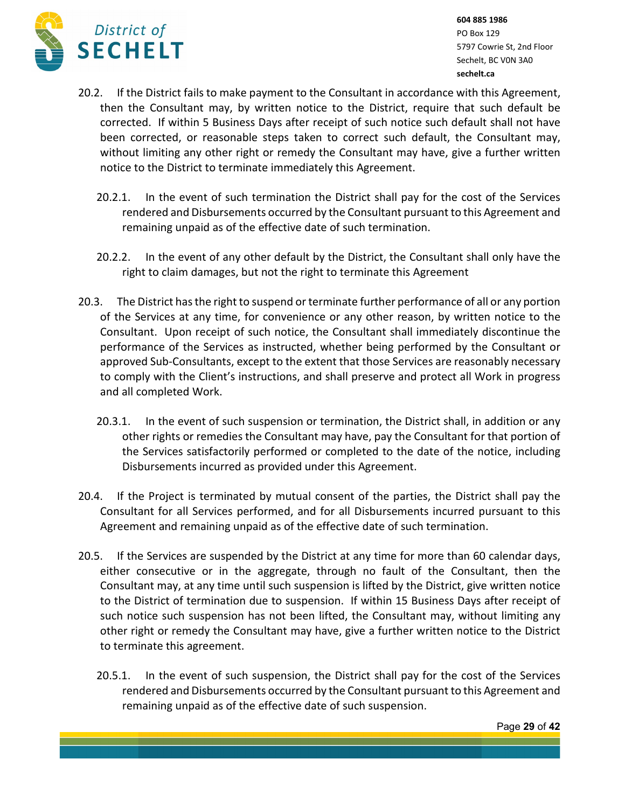

- 20.2. If the District fails to make payment to the Consultant in accordance with this Agreement, then the Consultant may, by written notice to the District, require that such default be corrected. If within 5 Business Days after receipt of such notice such default shall not have been corrected, or reasonable steps taken to correct such default, the Consultant may, without limiting any other right or remedy the Consultant may have, give a further written notice to the District to terminate immediately this Agreement.
	- 20.2.1. In the event of such termination the District shall pay for the cost of the Services rendered and Disbursements occurred by the Consultant pursuant to this Agreement and remaining unpaid as of the effective date of such termination.
	- 20.2.2. In the event of any other default by the District, the Consultant shall only have the right to claim damages, but not the right to terminate this Agreement
- 20.3. The District has the right to suspend or terminate further performance of all or any portion of the Services at any time, for convenience or any other reason, by written notice to the Consultant. Upon receipt of such notice, the Consultant shall immediately discontinue the performance of the Services as instructed, whether being performed by the Consultant or approved Sub-Consultants, except to the extent that those Services are reasonably necessary to comply with the Client's instructions, and shall preserve and protect all Work in progress and all completed Work.
	- 20.3.1. In the event of such suspension or termination, the District shall, in addition or any other rights or remedies the Consultant may have, pay the Consultant for that portion of the Services satisfactorily performed or completed to the date of the notice, including Disbursements incurred as provided under this Agreement.
- 20.4. If the Project is terminated by mutual consent of the parties, the District shall pay the Consultant for all Services performed, and for all Disbursements incurred pursuant to this Agreement and remaining unpaid as of the effective date of such termination.
- 20.5. If the Services are suspended by the District at any time for more than 60 calendar days, either consecutive or in the aggregate, through no fault of the Consultant, then the Consultant may, at any time until such suspension is lifted by the District, give written notice to the District of termination due to suspension. If within 15 Business Days after receipt of such notice such suspension has not been lifted, the Consultant may, without limiting any other right or remedy the Consultant may have, give a further written notice to the District to terminate this agreement.
	- 20.5.1. In the event of such suspension, the District shall pay for the cost of the Services rendered and Disbursements occurred by the Consultant pursuant to this Agreement and remaining unpaid as of the effective date of such suspension.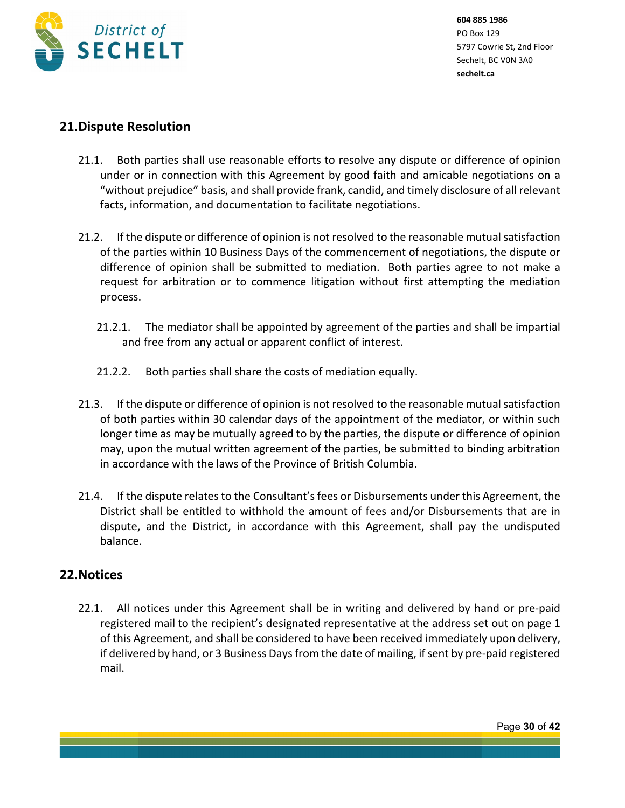

## **21.Dispute Resolution**

- 21.1. Both parties shall use reasonable efforts to resolve any dispute or difference of opinion under or in connection with this Agreement by good faith and amicable negotiations on a "without prejudice" basis, and shall provide frank, candid, and timely disclosure of all relevant facts, information, and documentation to facilitate negotiations.
- 21.2. If the dispute or difference of opinion is not resolved to the reasonable mutual satisfaction of the parties within 10 Business Days of the commencement of negotiations, the dispute or difference of opinion shall be submitted to mediation. Both parties agree to not make a request for arbitration or to commence litigation without first attempting the mediation process.
	- 21.2.1. The mediator shall be appointed by agreement of the parties and shall be impartial and free from any actual or apparent conflict of interest.
	- 21.2.2. Both parties shall share the costs of mediation equally.
- 21.3. If the dispute or difference of opinion is not resolved to the reasonable mutual satisfaction of both parties within 30 calendar days of the appointment of the mediator, or within such longer time as may be mutually agreed to by the parties, the dispute or difference of opinion may, upon the mutual written agreement of the parties, be submitted to binding arbitration in accordance with the laws of the Province of British Columbia.
- 21.4. If the dispute relates to the Consultant's fees or Disbursements under this Agreement, the District shall be entitled to withhold the amount of fees and/or Disbursements that are in dispute, and the District, in accordance with this Agreement, shall pay the undisputed balance.

# **22.Notices**

22.1. All notices under this Agreement shall be in writing and delivered by hand or pre-paid registered mail to the recipient's designated representative at the address set out on page 1 of this Agreement, and shall be considered to have been received immediately upon delivery, if delivered by hand, or 3 Business Days from the date of mailing, if sent by pre-paid registered mail.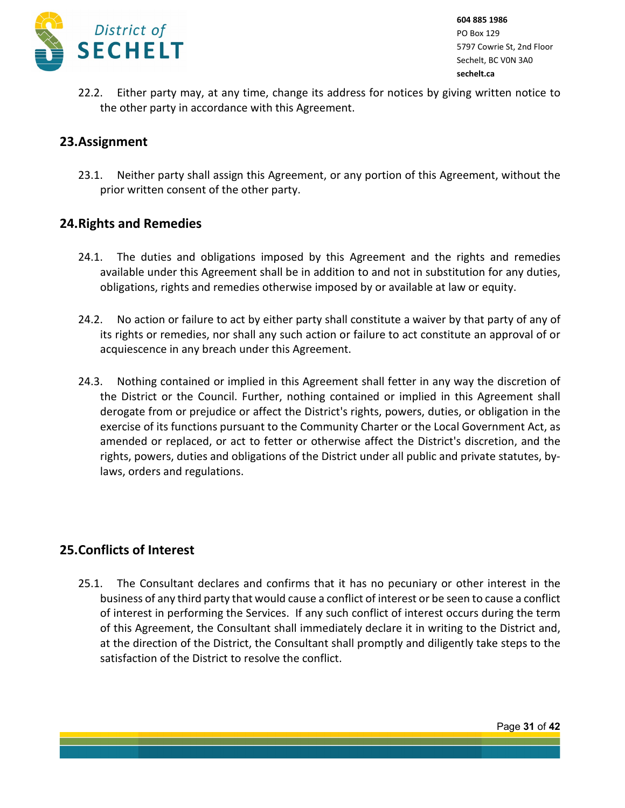

22.2. Either party may, at any time, change its address for notices by giving written notice to the other party in accordance with this Agreement.

## **23.Assignment**

23.1. Neither party shall assign this Agreement, or any portion of this Agreement, without the prior written consent of the other party.

## **24.Rights and Remedies**

- 24.1. The duties and obligations imposed by this Agreement and the rights and remedies available under this Agreement shall be in addition to and not in substitution for any duties, obligations, rights and remedies otherwise imposed by or available at law or equity.
- 24.2. No action or failure to act by either party shall constitute a waiver by that party of any of its rights or remedies, nor shall any such action or failure to act constitute an approval of or acquiescence in any breach under this Agreement.
- 24.3. Nothing contained or implied in this Agreement shall fetter in any way the discretion of the District or the Council. Further, nothing contained or implied in this Agreement shall derogate from or prejudice or affect the District's rights, powers, duties, or obligation in the exercise of its functions pursuant to the Community Charter or the Local Government Act, as amended or replaced, or act to fetter or otherwise affect the District's discretion, and the rights, powers, duties and obligations of the District under all public and private statutes, bylaws, orders and regulations.

# **25.Conflicts of Interest**

25.1. The Consultant declares and confirms that it has no pecuniary or other interest in the business of any third party that would cause a conflict of interest or be seen to cause a conflict of interest in performing the Services. If any such conflict of interest occurs during the term of this Agreement, the Consultant shall immediately declare it in writing to the District and, at the direction of the District, the Consultant shall promptly and diligently take steps to the satisfaction of the District to resolve the conflict.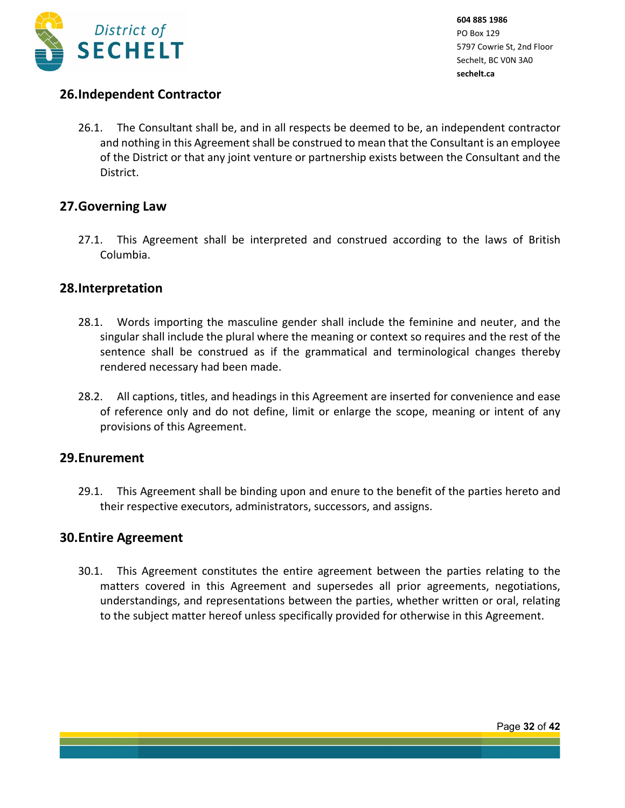

# **26.Independent Contractor**

26.1. The Consultant shall be, and in all respects be deemed to be, an independent contractor and nothing in this Agreement shall be construed to mean that the Consultant is an employee of the District or that any joint venture or partnership exists between the Consultant and the District.

## **27.Governing Law**

27.1. This Agreement shall be interpreted and construed according to the laws of British Columbia.

## **28.Interpretation**

- 28.1. Words importing the masculine gender shall include the feminine and neuter, and the singular shall include the plural where the meaning or context so requires and the rest of the sentence shall be construed as if the grammatical and terminological changes thereby rendered necessary had been made.
- 28.2. All captions, titles, and headings in this Agreement are inserted for convenience and ease of reference only and do not define, limit or enlarge the scope, meaning or intent of any provisions of this Agreement.

## **29.Enurement**

29.1. This Agreement shall be binding upon and enure to the benefit of the parties hereto and their respective executors, administrators, successors, and assigns.

## **30.Entire Agreement**

30.1. This Agreement constitutes the entire agreement between the parties relating to the matters covered in this Agreement and supersedes all prior agreements, negotiations, understandings, and representations between the parties, whether written or oral, relating to the subject matter hereof unless specifically provided for otherwise in this Agreement.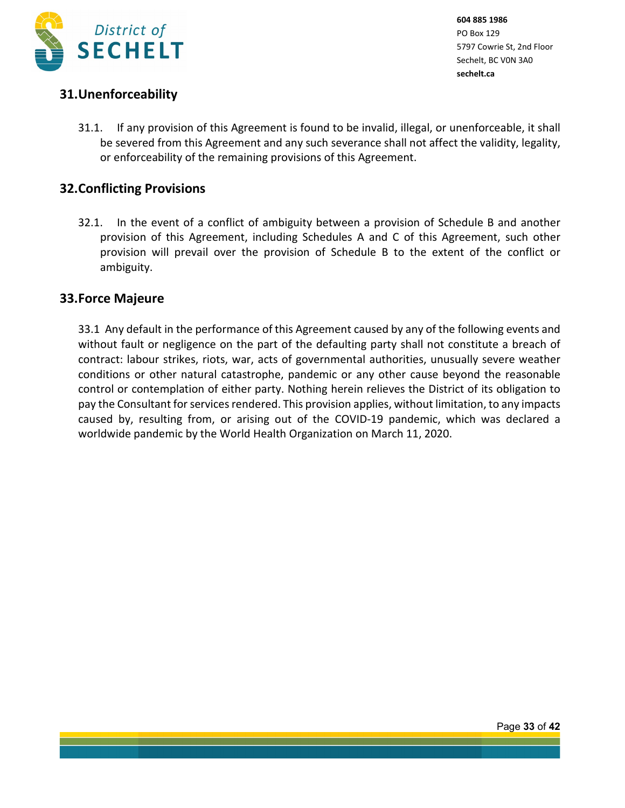

# **31.Unenforceability**

31.1. If any provision of this Agreement is found to be invalid, illegal, or unenforceable, it shall be severed from this Agreement and any such severance shall not affect the validity, legality, or enforceability of the remaining provisions of this Agreement.

# **32.Conflicting Provisions**

32.1. In the event of a conflict of ambiguity between a provision of Schedule B and another provision of this Agreement, including Schedules A and C of this Agreement, such other provision will prevail over the provision of Schedule B to the extent of the conflict or ambiguity.

# **33.Force Majeure**

33.1 Any default in the performance of this Agreement caused by any of the following events and without fault or negligence on the part of the defaulting party shall not constitute a breach of contract: labour strikes, riots, war, acts of governmental authorities, unusually severe weather conditions or other natural catastrophe, pandemic or any other cause beyond the reasonable control or contemplation of either party. Nothing herein relieves the District of its obligation to pay the Consultant for services rendered. This provision applies, without limitation, to any impacts caused by, resulting from, or arising out of the COVID-19 pandemic, which was declared a worldwide pandemic by the World Health Organization on March 11, 2020.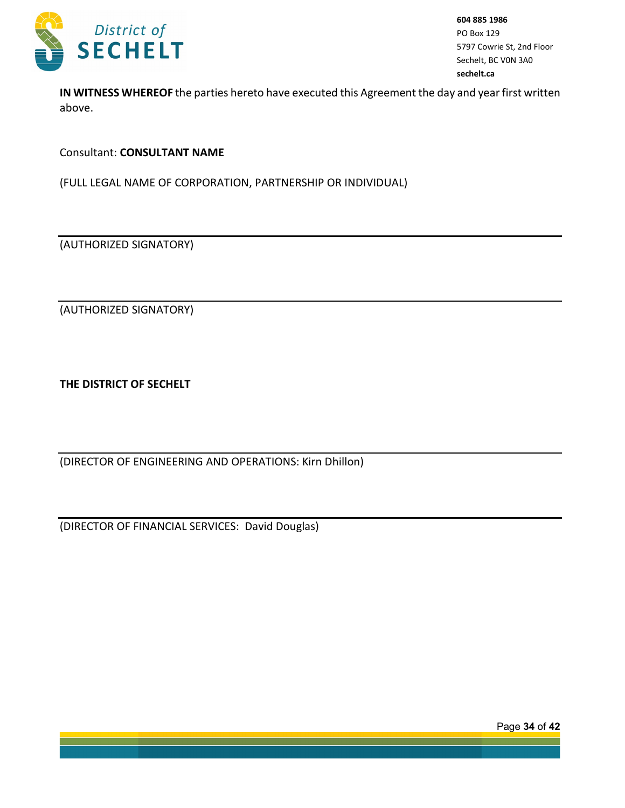

**IN WITNESS WHEREOF** the parties hereto have executed this Agreement the day and year first written above.

Consultant: **CONSULTANT NAME**

(FULL LEGAL NAME OF CORPORATION, PARTNERSHIP OR INDIVIDUAL)

(AUTHORIZED SIGNATORY)

(AUTHORIZED SIGNATORY)

**THE DISTRICT OF SECHELT**

(DIRECTOR OF ENGINEERING AND OPERATIONS: Kirn Dhillon)

(DIRECTOR OF FINANCIAL SERVICES: David Douglas)

Page **34** of **42**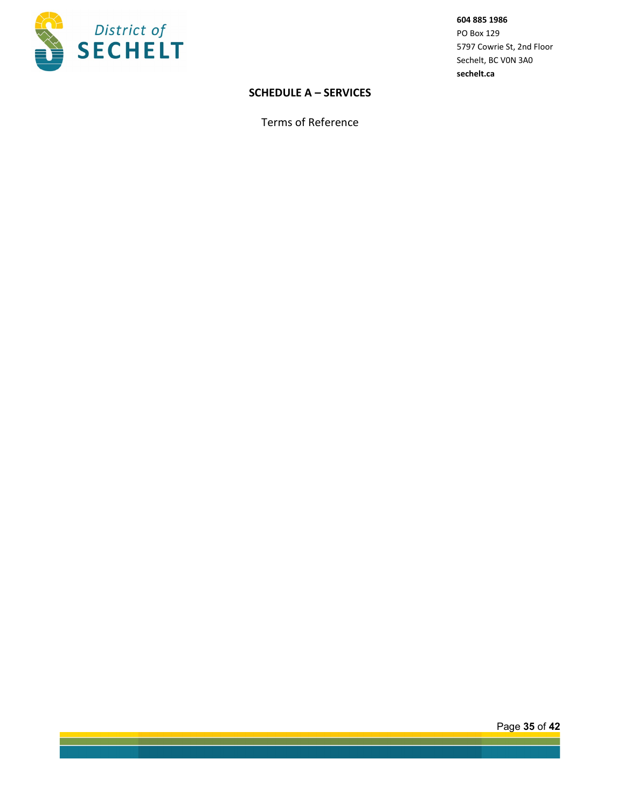

## **SCHEDULE A – SERVICES**

Terms of Reference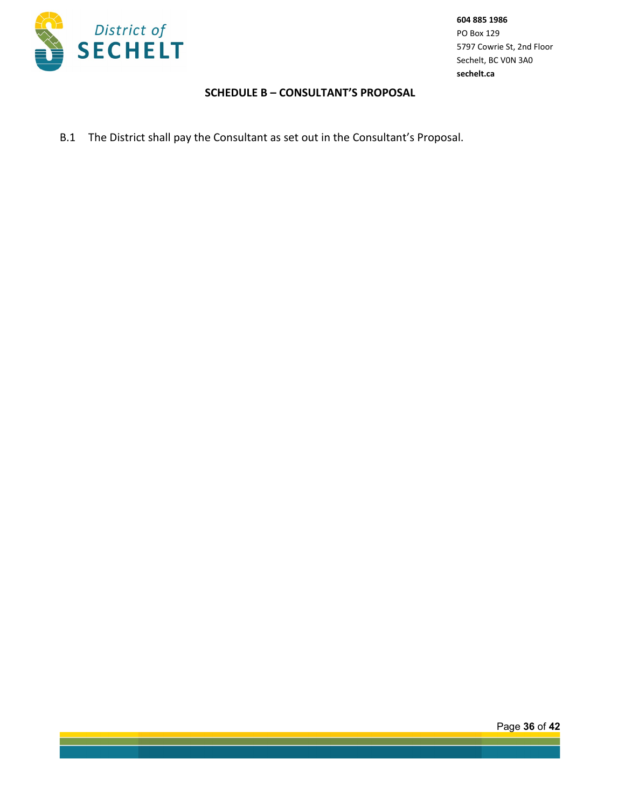

### **SCHEDULE B – CONSULTANT'S PROPOSAL**

B.1 The District shall pay the Consultant as set out in the Consultant's Proposal.

Page **36** of **42**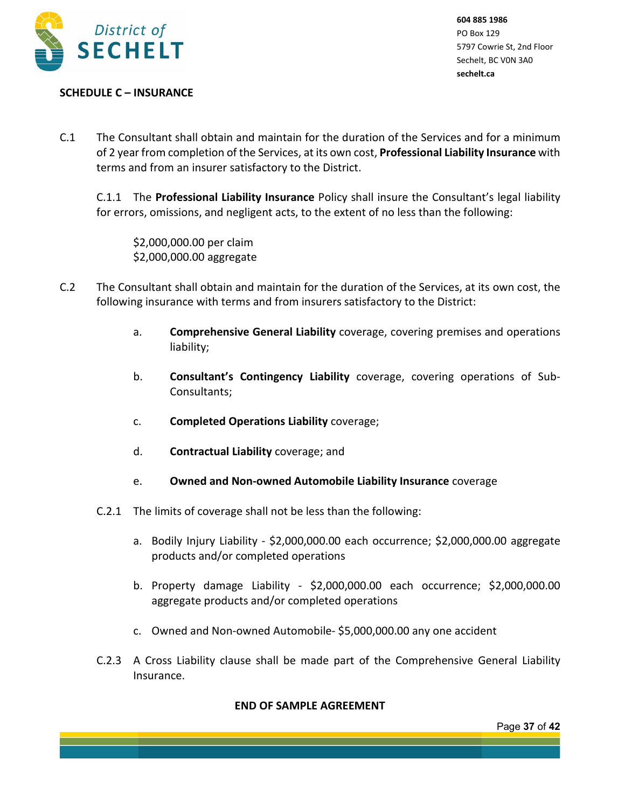

## **SCHEDULE C – INSURANCE**

C.1 The Consultant shall obtain and maintain for the duration of the Services and for a minimum of 2 year from completion of the Services, at its own cost, **Professional Liability Insurance** with terms and from an insurer satisfactory to the District.

C.1.1 The **Professional Liability Insurance** Policy shall insure the Consultant's legal liability for errors, omissions, and negligent acts, to the extent of no less than the following:

\$2,000,000.00 per claim \$2,000,000.00 aggregate

- C.2 The Consultant shall obtain and maintain for the duration of the Services, at its own cost, the following insurance with terms and from insurers satisfactory to the District:
	- a. **Comprehensive General Liability** coverage, covering premises and operations liability;
	- b. **Consultant's Contingency Liability** coverage, covering operations of Sub-Consultants;
	- c. **Completed Operations Liability** coverage;
	- d. **Contractual Liability** coverage; and
	- e. **Owned and Non-owned Automobile Liability Insurance** coverage
	- C.2.1 The limits of coverage shall not be less than the following:
		- a. Bodily Injury Liability \$2,000,000.00 each occurrence; \$2,000,000.00 aggregate products and/or completed operations
		- b. Property damage Liability \$2,000,000.00 each occurrence; \$2,000,000.00 aggregate products and/or completed operations
		- c. Owned and Non-owned Automobile- \$5,000,000.00 any one accident
	- C.2.3 A Cross Liability clause shall be made part of the Comprehensive General Liability Insurance.

## **END OF SAMPLE AGREEMENT**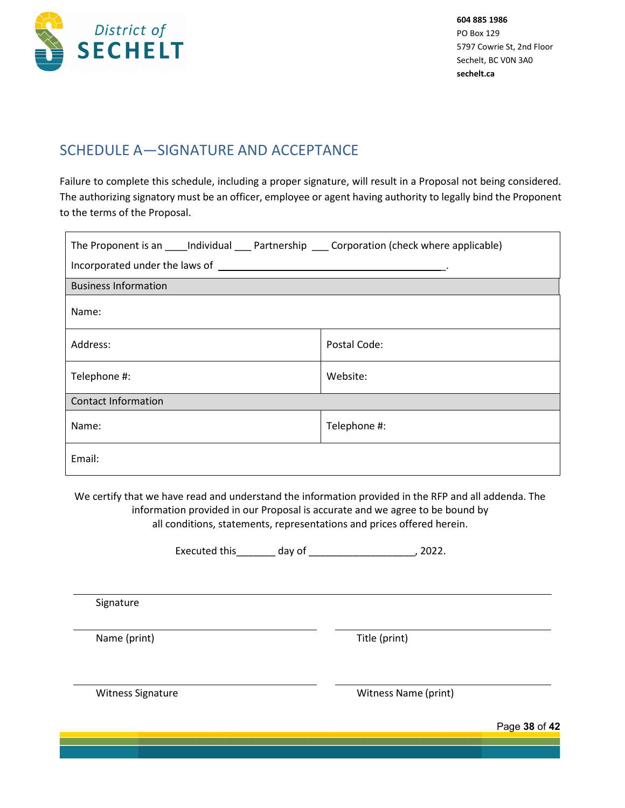

# SCHEDULE A—SIGNATURE AND ACCEPTANCE

Failure to complete this schedule, including a proper signature, will result in a Proposal not being considered. The authorizing signatory must be an officer, employee or agent having authority to legally bind the Proponent to the terms of the Proposal.

| The Proponent is an _____ Individual _____ Partnership ______ Corporation (check where applicable) |              |  |  |  |
|----------------------------------------------------------------------------------------------------|--------------|--|--|--|
|                                                                                                    |              |  |  |  |
| <b>Business Information</b>                                                                        |              |  |  |  |
| Name:                                                                                              |              |  |  |  |
| Address:                                                                                           | Postal Code: |  |  |  |
| Telephone #:                                                                                       | Website:     |  |  |  |
| <b>Contact Information</b>                                                                         |              |  |  |  |
| Name:                                                                                              | Telephone #: |  |  |  |
| Email:                                                                                             |              |  |  |  |

We certify that we have read and understand the information provided in the RFP and all addenda. The information provided in our Proposal is accurate and we agree to be bound by all conditions, statements, representations and prices offered herein.

|                   | <b>Executed this</b> | day of | 2022.                |               |
|-------------------|----------------------|--------|----------------------|---------------|
|                   |                      |        |                      |               |
| Signature         |                      |        |                      |               |
| Name (print)      |                      |        | Title (print)        |               |
| Witness Signature |                      |        | Witness Name (print) |               |
|                   |                      |        |                      | Page 38 of 42 |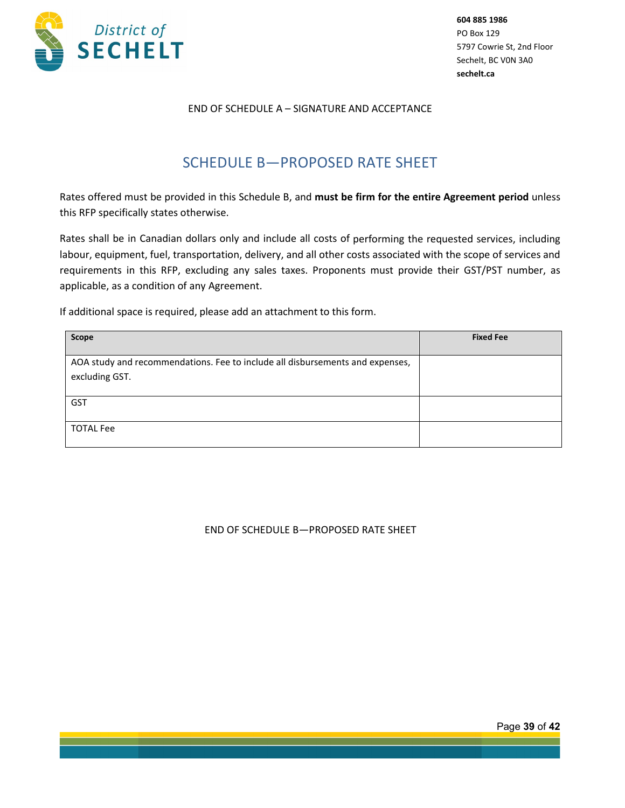

### END OF SCHEDULE A – SIGNATURE AND ACCEPTANCE

# SCHEDULE B—PROPOSED RATE SHEET

Rates offered must be provided in this Schedule B, and **must be firm for the entire Agreement period** unless this RFP specifically states otherwise.

Rates shall be in Canadian dollars only and include all costs of performing the requested services, including labour, equipment, fuel, transportation, delivery, and all other costs associated with the scope of services and requirements in this RFP, excluding any sales taxes. Proponents must provide their GST/PST number, as applicable, as a condition of any Agreement.

If additional space is required, please add an attachment to this form.

| Scope                                                                                           | <b>Fixed Fee</b> |
|-------------------------------------------------------------------------------------------------|------------------|
| AOA study and recommendations. Fee to include all disbursements and expenses,<br>excluding GST. |                  |
| <b>GST</b>                                                                                      |                  |
| <b>TOTAL Fee</b>                                                                                |                  |

#### END OF SCHEDULE B—PROPOSED RATE SHEET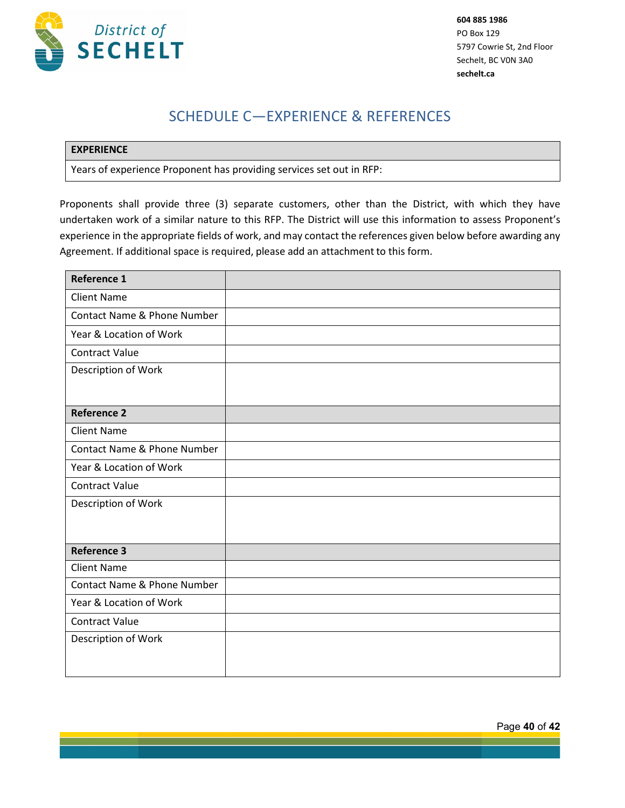

# SCHEDULE C—EXPERIENCE & REFERENCES

### **EXPERIENCE**

Years of experience Proponent has providing services set out in RFP:

Proponents shall provide three (3) separate customers, other than the District, with which they have undertaken work of a similar nature to this RFP. The District will use this information to assess Proponent's experience in the appropriate fields of work, and may contact the references given below before awarding any Agreement. If additional space is required, please add an attachment to this form.

| <b>Reference 1</b>          |  |
|-----------------------------|--|
| <b>Client Name</b>          |  |
| Contact Name & Phone Number |  |
| Year & Location of Work     |  |
| <b>Contract Value</b>       |  |
| Description of Work         |  |
| <b>Reference 2</b>          |  |
| <b>Client Name</b>          |  |
| Contact Name & Phone Number |  |
| Year & Location of Work     |  |
| <b>Contract Value</b>       |  |
| Description of Work         |  |
| <b>Reference 3</b>          |  |
| <b>Client Name</b>          |  |
| Contact Name & Phone Number |  |
| Year & Location of Work     |  |
| <b>Contract Value</b>       |  |
| Description of Work         |  |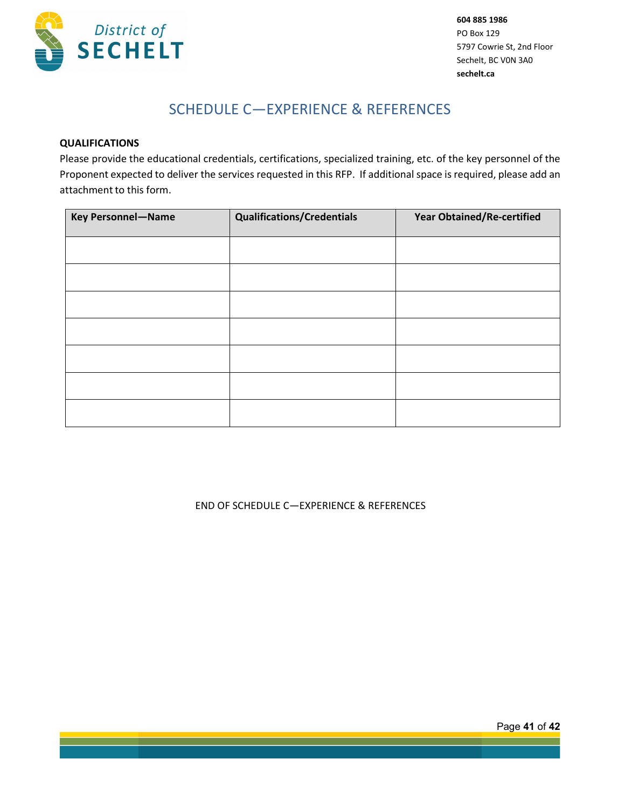

# SCHEDULE C—EXPERIENCE & REFERENCES

### **QUALIFICATIONS**

Please provide the educational credentials, certifications, specialized training, etc. of the key personnel of the Proponent expected to deliver the services requested in this RFP. If additional space is required, please add an attachment to this form.

| <b>Key Personnel-Name</b> | <b>Qualifications/Credentials</b> | <b>Year Obtained/Re-certified</b> |
|---------------------------|-----------------------------------|-----------------------------------|
|                           |                                   |                                   |
|                           |                                   |                                   |
|                           |                                   |                                   |
|                           |                                   |                                   |
|                           |                                   |                                   |
|                           |                                   |                                   |
|                           |                                   |                                   |

### END OF SCHEDULE C—EXPERIENCE & REFERENCES